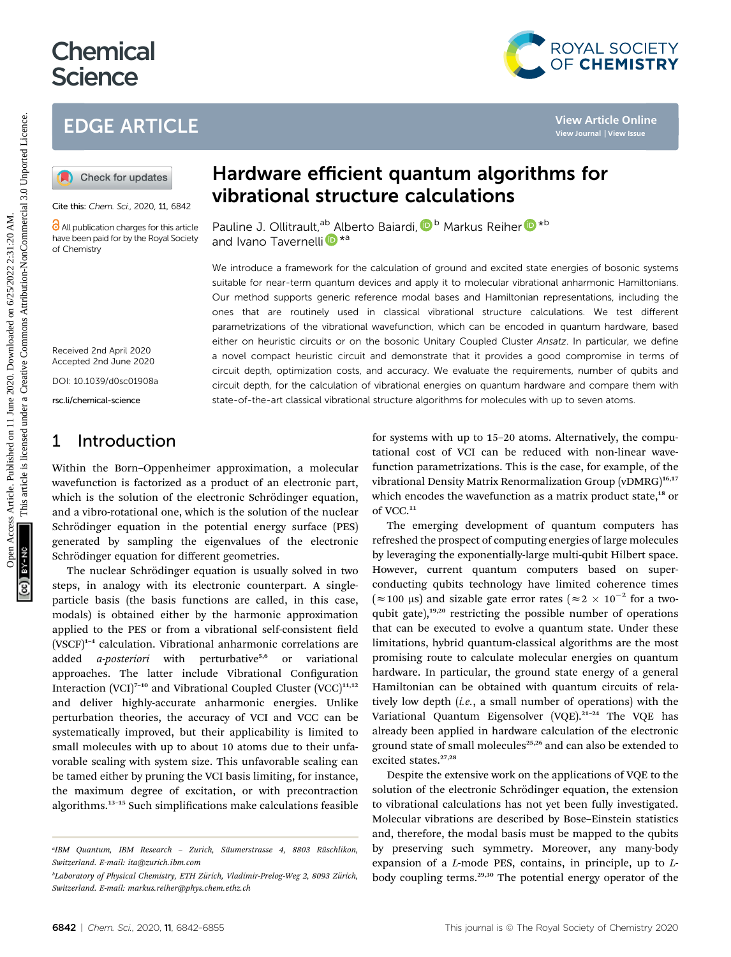# **Chemical Science**

# EDGE ARTICLE

Cite this: Chem. Sci., 2020, 11, 6842

**C** All publication charges for this article have been paid for by the Royal Society of Chemistry

Received 2nd April 2020 Accepted 2nd June 2020

DOI: 10.1039/d0sc01908a

rsc.li/chemical-science

### 1 Introduction

Within the Born–Oppenheimer approximation, a molecular wavefunction is factorized as a product of an electronic part, which is the solution of the electronic Schrödinger equation, and a vibro-rotational one, which is the solution of the nuclear Schrödinger equation in the potential energy surface (PES) generated by sampling the eigenvalues of the electronic Schrödinger equation for different geometries.

The nuclear Schrödinger equation is usually solved in two steps, in analogy with its electronic counterpart. A singleparticle basis (the basis functions are called, in this case, modals) is obtained either by the harmonic approximation applied to the PES or from a vibrational self-consistent field  $(VSCF)^{1-4}$  calculation. Vibrational anharmonic correlations are added *a-posteriori* with perturbative<sup>5,6</sup> or variational approaches. The latter include Vibrational Configuration Interaction (VCI)<sup>7-10</sup> and Vibrational Coupled Cluster (VCC)<sup>11,12</sup> and deliver highly-accurate anharmonic energies. Unlike perturbation theories, the accuracy of VCI and VCC can be systematically improved, but their applicability is limited to small molecules with up to about 10 atoms due to their unfavorable scaling with system size. This unfavorable scaling can be tamed either by pruning the VCI basis limiting, for instance, the maximum degree of excitation, or with precontraction algorithms.<sup>13</sup>–<sup>15</sup> Such simplications make calculations feasible

# Hardware efficient quantum algorithms for vibrational structure calculations

Pauline J. Ollitrault,<sup>ab</sup> [A](http://orcid.org/0000-0001-5690-1981)lbe[r](http://orcid.org/0000-0002-9508-1565)to Baiardi, D<sup>b</sup> Markus Reiher D<sup>\*b</sup> and Ivano Tavernelli<sup>D \*a</sup>

We introduce a framework for the calculation of ground and excited state energies of bosonic systems suitable for near-term quantum devices and apply it to molecular vibrational anharmonic Hamiltonians. Our method supports generic reference modal bases and Hamiltonian representations, including the ones that are routinely used in classical vibrational structure calculations. We test different parametrizations of the vibrational wavefunction, which can be encoded in quantum hardware, based either on heuristic circuits or on the bosonic Unitary Coupled Cluster Ansatz. In particular, we define a novel compact heuristic circuit and demonstrate that it provides a good compromise in terms of circuit depth, optimization costs, and accuracy. We evaluate the requirements, number of qubits and circuit depth, for the calculation of vibrational energies on quantum hardware and compare them with state-of-the-art classical vibrational structure algorithms for molecules with up to seven atoms. **EDGE ARTICLE**<br> **CONFIGURE TRANSFERIGE TRANSFERIGE TRANSFERIGE TRANSFERIGE TRANSFERIGE TRANSFERIGE TRANSFERIGE TRANSFERIGE TRANSFERIGE TRANSFERIGE TRANSFERIGE TRANSFERIGE TRANSFERIGE TRANSFERIGE TRANSFERIGE TRANSFERIGE TR** 

for systems with up to 15–20 atoms. Alternatively, the computational cost of VCI can be reduced with non-linear wavefunction parametrizations. This is the case, for example, of the vibrational Density Matrix Renormalization Group (vDMRG)16,17 which encodes the wavefunction as a matrix product state,<sup>18</sup> or of VCC.<sup>11</sup>

The emerging development of quantum computers has refreshed the prospect of computing energies of large molecules by leveraging the exponentially-large multi-qubit Hilbert space. However, current quantum computers based on superconducting qubits technology have limited coherence times  $(\approx 100 \text{ }\mu\text{s})$  and sizable gate error rates  $(\approx 2 \times 10^{-2} \text{ for a two--}$ qubit gate),<sup>19,20</sup> restricting the possible number of operations that can be executed to evolve a quantum state. Under these limitations, hybrid quantum-classical algorithms are the most promising route to calculate molecular energies on quantum hardware. In particular, the ground state energy of a general Hamiltonian can be obtained with quantum circuits of relatively low depth (i.e., a small number of operations) with the Variational Quantum Eigensolver (VQE).<sup>21-24</sup> The VQE has already been applied in hardware calculation of the electronic ground state of small molecules<sup>25,26</sup> and can also be extended to excited states.<sup>27,28</sup>

Despite the extensive work on the applications of VQE to the solution of the electronic Schrödinger equation, the extension to vibrational calculations has not yet been fully investigated. Molecular vibrations are described by Bose–Einstein statistics and, therefore, the modal basis must be mapped to the qubits by preserving such symmetry. Moreover, any many-body expansion of a  $L$ -mode PES, contains, in principle, up to  $L$ body coupling terms.<sup>29,30</sup> The potential energy operator of the



<sup>&</sup>quot;IBM Quantum, IBM Research - Zurich, Säumerstrasse 4, 8803 Rüschlikon, Switzerland. E-mail: ita@zurich.ibm.com

bLaboratory of Physical Chemistry, ETH Zürich, Vladimir-Prelog-Weg 2, 8093 Zürich, Switzerland. E-mail: markus.reiher@phys.chem.ethz.ch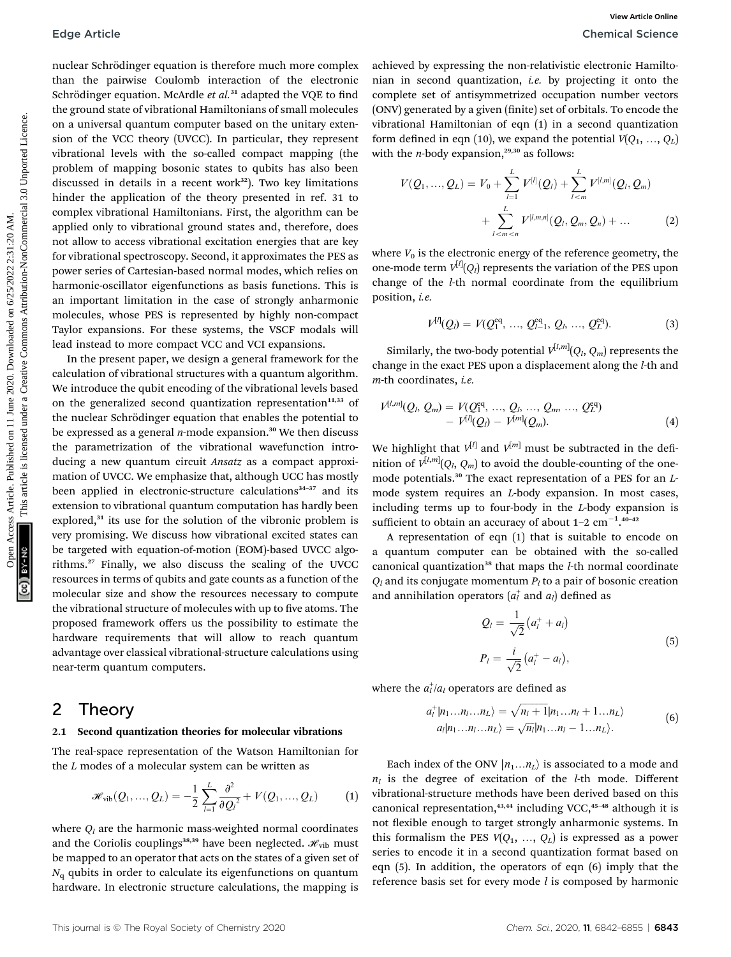nuclear Schrödinger equation is therefore much more complex than the pairwise Coulomb interaction of the electronic Schrödinger equation. McArdle et al.<sup>31</sup> adapted the VQE to find the ground state of vibrational Hamiltonians of small molecules on a universal quantum computer based on the unitary extension of the VCC theory (UVCC). In particular, they represent vibrational levels with the so-called compact mapping (the problem of mapping bosonic states to qubits has also been discussed in details in a recent work<sup>32</sup>). Two key limitations hinder the application of the theory presented in ref. 31 to complex vibrational Hamiltonians. First, the algorithm can be applied only to vibrational ground states and, therefore, does not allow to access vibrational excitation energies that are key for vibrational spectroscopy. Second, it approximates the PES as power series of Cartesian-based normal modes, which relies on harmonic-oscillator eigenfunctions as basis functions. This is an important limitation in the case of strongly anharmonic molecules, whose PES is represented by highly non-compact Taylor expansions. For these systems, the VSCF modals will lead instead to more compact VCC and VCI expansions. Edge Article<br>
The main the puriod content on the content on the chemical content on the content of the content on the content of the common of the common computer and the puriod on  $\mu$  is proposition, i.e. by proposition

In the present paper, we design a general framework for the calculation of vibrational structures with a quantum algorithm. We introduce the qubit encoding of the vibrational levels based on the generalized second quantization representation $11,33$  of the nuclear Schrödinger equation that enables the potential to be expressed as a general  $n$ -mode expansion.<sup>30</sup> We then discuss the parametrization of the vibrational wavefunction introducing a new quantum circuit Ansatz as a compact approximation of UVCC. We emphasize that, although UCC has mostly been applied in electronic-structure calculations<sup>34-37</sup> and its extension to vibrational quantum computation has hardly been explored,<sup>31</sup> its use for the solution of the vibronic problem is very promising. We discuss how vibrational excited states can be targeted with equation-of-motion (EOM)-based UVCC algorithms.<sup>27</sup> Finally, we also discuss the scaling of the UVCC resources in terms of qubits and gate counts as a function of the molecular size and show the resources necessary to compute the vibrational structure of molecules with up to five atoms. The proposed framework offers us the possibility to estimate the hardware requirements that will allow to reach quantum advantage over classical vibrational-structure calculations using near-term quantum computers.

### 2 Theory

#### 2.1 Second quantization theories for molecular vibrations

The real-space representation of the Watson Hamiltonian for the L modes of a molecular system can be written as

$$
\mathscr{H}_{\text{vib}}(Q_1, ..., Q_L) = -\frac{1}{2} \sum_{l=1}^{L} \frac{\partial^2}{\partial Q_l^2} + V(Q_1, ..., Q_L)
$$
 (1)

where  $Q_l$  are the harmonic mass-weighted normal coordinates and the Coriolis couplings<sup>38,39</sup> have been neglected.  $\mathcal{H}_{\text{vib}}$  must be mapped to an operator that acts on the states of a given set of  $N_q$  qubits in order to calculate its eigenfunctions on quantum hardware. In electronic structure calculations, the mapping is

achieved by expressing the non-relativistic electronic Hamiltonian in second quantization, i.e. by projecting it onto the complete set of antisymmetrized occupation number vectors (ONV) generated by a given (finite) set of orbitals. To encode the vibrational Hamiltonian of eqn (1) in a second quantization form defined in eqn (10), we expand the potential  $V(Q_1, ..., Q_L)$ with the *n*-body expansion,<sup>29,30</sup> as follows:

$$
V(Q_1, ..., Q_L) = V_0 + \sum_{l=1}^{L} V^{[l]}(Q_l) + \sum_{l \le m}^{L} V^{[l,m]}(Q_l, Q_m)
$$

$$
+ \sum_{l \le m \le n}^{L} V^{[l,m,n]}(Q_l, Q_m, Q_n) + ... \qquad (2)
$$

where  $V_0$  is the electronic energy of the reference geometry, the one-mode term  $V^{[l]}(Q_l)$  represents the variation of the PES upon change of the l-th normal coordinate from the equilibrium position, *i.e.* 

$$
V^{[l]}(Q_l) = V(Q_1^{\text{eq}}, \ldots, Q_{l-1}^{\text{eq}}, Q_l, \ldots, Q_L^{\text{eq}}). \tag{3}
$$

Similarly, the two-body potential  $V^{[l,m]}(Q_l,Q_m)$  represents the change in the exact PES upon a displacement along the l-th and m-th coordinates, *i.e.* 

$$
V^{[l,m]}(Q_l, Q_m) = V(Q_1^{eq}, ..., Q_l, ..., Q_m, ..., Q_L^{eq})
$$
  
-  $V^{[l]}(Q_l) - V^{[m]}(Q_m).$  (4)

We highlight that  $V^{[l]}$  and  $V^{[m]}$  must be subtracted in the definition of  $V^{[l,m]}(Q_l, Q_m)$  to avoid the double-counting of the onemode potentials.<sup>30</sup> The exact representation of a PES for an Lmode system requires an L-body expansion. In most cases, including terms up to four-body in the L-body expansion is sufficient to obtain an accuracy of about  $1-2$  cm<sup>-1</sup>.<sup>40-42</sup>

A representation of eqn (1) that is suitable to encode on a quantum computer can be obtained with the so-called canonical quantization<sup>38</sup> that maps the  $l$ -th normal coordinate  $Q_l$  and its conjugate momentum  $P_l$  to a pair of bosonic creation and annihilation operators  $(a_i^{\dagger}$  and  $a_i)$  defined as

$$
Q_l = \frac{1}{\sqrt{2}} \left( a_l^+ + a_l \right)
$$
  
\n
$$
P_l = \frac{i}{\sqrt{2}} \left( a_l^+ - a_l \right),
$$
\n(5)

where the  $a_l^{\dagger}/a_l$  operators are defined as

$$
a_l^+|n_1...n_l...n_L\rangle = \sqrt{n_l+1}|n_1...n_l+1...n_L\rangle
$$
  
\n
$$
a_l|n_1...n_l...n_L\rangle = \sqrt{n_l}|n_1...n_l-1...n_L\rangle.
$$
 (6)

Each index of the ONV  $|n_1...n_L\rangle$  is associated to a mode and  $n_l$  is the degree of excitation of the *l*-th mode. Different vibrational-structure methods have been derived based on this canonical representation, $43,44$  including VCC, $45-48$  although it is not flexible enough to target strongly anharmonic systems. In this formalism the PES  $V(Q_1, ..., Q_L)$  is expressed as a power series to encode it in a second quantization format based on eqn (5). In addition, the operators of eqn (6) imply that the reference basis set for every mode  $l$  is composed by harmonic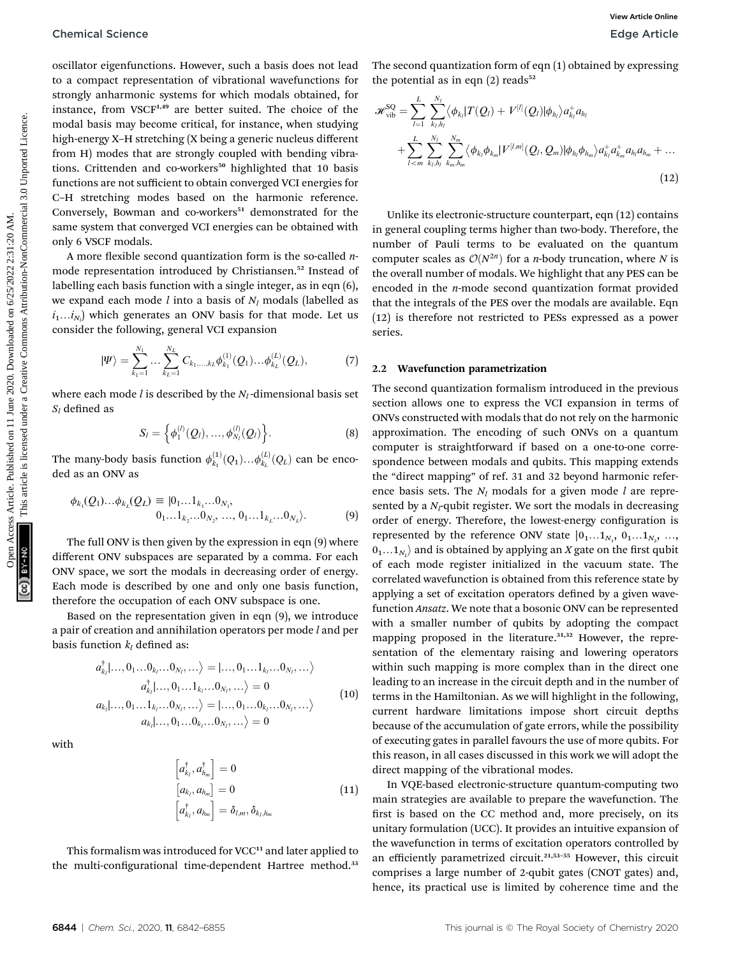oscillator eigenfunctions. However, such a basis does not lead to a compact representation of vibrational wavefunctions for strongly anharmonic systems for which modals obtained, for instance, from VSCF1,49 are better suited. The choice of the modal basis may become critical, for instance, when studying high-energy X–H stretching (X being a generic nucleus different from H) modes that are strongly coupled with bending vibrations. Crittenden and co-workers<sup>50</sup> highlighted that 10 basis functions are not sufficient to obtain converged VCI energies for C–H stretching modes based on the harmonic reference. Conversely, Bowman and co-workers<sup>51</sup> demonstrated for the same system that converged VCI energies can be obtained with only 6 VSCF modals. Chemical Science<br>
One of expecting the second three constraines for the potential is in equilibrium of the potential is line of the potential is line of the potential is line of the potential is line of the potential in t

A more flexible second quantization form is the so-called  $n$ mode representation introduced by Christiansen.<sup>52</sup> Instead of labelling each basis function with a single integer, as in eqn (6), we expand each mode  $l$  into a basis of  $N_l$  modals (labelled as  $(i_1...i_{N_l})$  which generates an ONV basis for that mode. Let us consider the following, general VCI expansion

$$
|\Psi\rangle = \sum_{k_1=1}^{N_1} \dots \sum_{k_L=1}^{N_L} C_{k_1,\dots,k_L} \phi_{k_1}^{(1)}(Q_1) \dots \phi_{k_L}^{(L)}(Q_L),
$$
 (7)

where each mode *l* is described by the  $N_l$ -dimensional basis set  $S_l$  defined as

$$
S_l = \left\{ \phi_1^{(l)}(Q_l), \dots, \phi_{N_l}^{(l)}(Q_l) \right\}.
$$
 (8)

The many-body basis function  $\phi_{k_1}^{(1)}(Q_1) \dots \phi_{k_L}^{(L)}(Q_L)$  can be encoded as an ONV as

$$
\phi_{k_1}(Q_1)\dots\phi_{k_L}(Q_L) \equiv [0_1 \dots 1_{k_1} \dots 0_{N_1},
$$
  
\n
$$
0_1 \dots 1_{k_2} \dots 0_{N_2}, \dots, 0_1 \dots 1_{k_L} \dots 0_{N_L}).
$$
\n(9)

The full ONV is then given by the expression in eqn (9) where different ONV subspaces are separated by a comma. For each ONV space, we sort the modals in decreasing order of energy. Each mode is described by one and only one basis function, therefore the occupation of each ONV subspace is one.

Based on the representation given in eqn (9), we introduce a pair of creation and annihilation operators per mode l and per basis function  $k_l$  defined as:

$$
a_{k_l}^{\dagger} |..., 0_1...0_{k_l}...0_{N_l}, ... \rangle = |..., 0_1...1_{k_l}...0_{N_l}, ... \rangle
$$
  
\n
$$
a_{k_l}^{\dagger} |..., 0_1...1_{k_l}...0_{N_l}, ... \rangle = 0
$$
  
\n
$$
a_{k_l} |..., 0_1...1_{k_l}...0_{N_l}, ... \rangle = |..., 0_1...0_{k_l}...0_{N_l}, ... \rangle
$$
  
\n
$$
a_{k_l} |..., 0_1...0_{k_l}...0_{N_l}, ... \rangle = 0
$$
\n(10)

with

$$
\begin{aligned}\n\left[a_{k_l}^{\dagger}, a_{h_m}^{\dagger}\right] &= 0\\
\left[a_{k_l}, a_{h_m}\right] &= 0\\
\left[a_{k_l}^{\dagger}, a_{h_m}\right] &= \delta_{l,m}, \delta_{k_l, h_m}\n\end{aligned} \tag{11}
$$

This formalism was introduced for  $VCC<sup>11</sup>$  and later applied to the multi-configurational time-dependent Hartree method.<sup>33</sup> The second quantization form of eqn (1) obtained by expressing the potential as in eqn  $(2)$  reads<sup>52</sup>

$$
\mathcal{H}_{\text{vib}}^{\text{SQ}} = \sum_{l=1}^{L} \sum_{k_{l},h_{l}}^{N_{l}} \langle \phi_{k_{l}} | T(Q_{l}) + V^{[l]}(Q_{l}) | \phi_{h_{l}} \rangle a_{k_{l}}^{+} a_{h_{l}} + \sum_{l=m}^{L} \sum_{k_{l},h_{l}}^{N_{l}} \langle \phi_{k_{l}} \phi_{k_{m}} | V^{[l,m]}(Q_{l}, Q_{m}) | \phi_{h_{l}} \phi_{h_{m}} \rangle a_{k_{l}}^{+} a_{k_{m}}^{+} a_{h_{l}} a_{h_{m}} + \dots
$$
\n(12)

Unlike its electronic-structure counterpart, eqn (12) contains in general coupling terms higher than two-body. Therefore, the number of Pauli terms to be evaluated on the quantum computer scales as  $O(N^{2n})$  for a *n*-body truncation, where N is the overall number of modals. We highlight that any PES can be encoded in the n-mode second quantization format provided that the integrals of the PES over the modals are available. Eqn (12) is therefore not restricted to PESs expressed as a power series.

#### 2.2 Wavefunction parametrization

The second quantization formalism introduced in the previous section allows one to express the VCI expansion in terms of ONVs constructed with modals that do not rely on the harmonic approximation. The encoding of such ONVs on a quantum computer is straightforward if based on a one-to-one correspondence between modals and qubits. This mapping extends the "direct mapping" of ref. 31 and 32 beyond harmonic reference basis sets. The  $N_l$  modals for a given mode l are represented by a  $N<sub>r</sub>$ qubit register. We sort the modals in decreasing order of energy. Therefore, the lowest-energy configuration is represented by the reference ONV state  $|0_1...1_{N_1}, 0_1...1_{N_2}, ...$  $0_1...1_{N_L}\rangle$  and is obtained by applying an  $X$  gate on the first qubit of each mode register initialized in the vacuum state. The correlated wavefunction is obtained from this reference state by applying a set of excitation operators defined by a given wavefunction Ansatz. We note that a bosonic ONV can be represented with a smaller number of qubits by adopting the compact mapping proposed in the literature.<sup>31,32</sup> However, the representation of the elementary raising and lowering operators within such mapping is more complex than in the direct one leading to an increase in the circuit depth and in the number of terms in the Hamiltonian. As we will highlight in the following, current hardware limitations impose short circuit depths because of the accumulation of gate errors, while the possibility of executing gates in parallel favours the use of more qubits. For this reason, in all cases discussed in this work we will adopt the direct mapping of the vibrational modes.

In VQE-based electronic-structure quantum-computing two main strategies are available to prepare the wavefunction. The first is based on the CC method and, more precisely, on its unitary formulation (UCC). It provides an intuitive expansion of the wavefunction in terms of excitation operators controlled by an efficiently parametrized circuit.<sup>21,53-55</sup> However, this circuit comprises a large number of 2-qubit gates (CNOT gates) and, hence, its practical use is limited by coherence time and the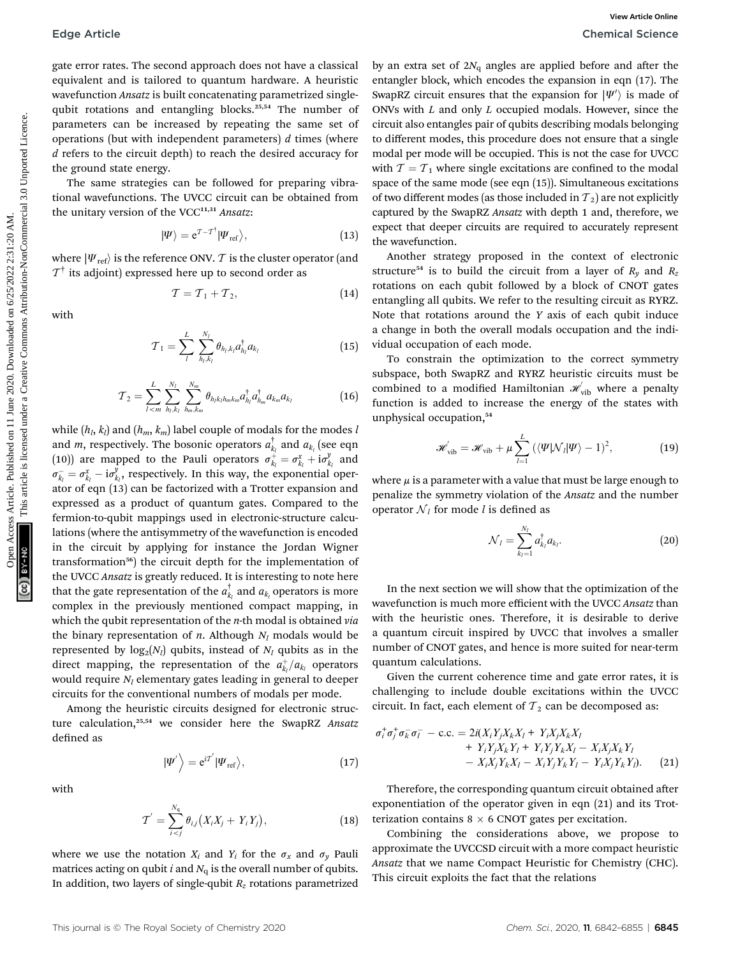gate error rates. The second approach does not have a classical equivalent and is tailored to quantum hardware. A heuristic wavefunction Ansatz is built concatenating parametrized singlequbit rotations and entangling blocks.<sup>25,54</sup> The number of parameters can be increased by repeating the same set of operations (but with independent parameters)  $d$  times (where d refers to the circuit depth) to reach the desired accuracy for the ground state energy.

The same strategies can be followed for preparing vibrational wavefunctions. The UVCC circuit can be obtained from the unitary version of the VCC $^{11,31}$  Ansatz:

$$
|\Psi\rangle = e^{\mathcal{T}-\mathcal{T}^{\dagger}}|\Psi_{\text{ref}}\rangle, \tag{13}
$$

where  $|\Psi_{\text{ref}}\rangle$  is the reference ONV. T is the cluster operator (and  $\mathcal{T}^{\dagger}$  its adjoint) expressed here up to second order as

$$
\mathcal{T} = \mathcal{T}_1 + \mathcal{T}_2,\tag{14}
$$

with

with

$$
T_1 = \sum_{l}^{L} \sum_{h_l, k_l}^{N_l} \theta_{h_l, k_l} a_{h_l}^{\dagger} a_{k_l}
$$
 (15)

$$
T_2 = \sum_{l < m}^{L} \sum_{h_l, k_l}^{N_l} \sum_{h_m, k_m}^{N_m} \theta_{h_l k_l h_m k_m} a_{h_l}^{\dagger} a_{h_m}^{\dagger} a_{k_m} a_{k_l} \tag{16}
$$

while  $(h_l, k_l)$  and  $(h_m, k_m)$  label couple of modals for the modes l and *m*, respectively. The bosonic operators  $a_{k_l}^{\dagger}$  and  $a_{k_l}$  (see eqn (10)) are mapped to the Pauli operators  $\sigma_{k_l}^+ = \sigma_{k_l}^x + i \sigma_{k_l}^y$  and  $\sigma_{k_l}^- = \sigma_{k_l}^x - i \sigma_{k_l}^y$ , respectively. In this way, the exponential operator of eqn (13) can be factorized with a Trotter expansion and expressed as a product of quantum gates. Compared to the fermion-to-qubit mappings used in electronic-structure calculations (where the antisymmetry of the wavefunction is encoded in the circuit by applying for instance the Jordan Wigner transformation<sup>56</sup>) the circuit depth for the implementation of the UVCC Ansatz is greatly reduced. It is interesting to note here that the gate representation of the  $a_{k_l}^{\dagger}$  and  $a_{k_l}$  operators is more complex in the previously mentioned compact mapping, in which the qubit representation of the  $n$ -th modal is obtained via the binary representation of *n*. Although  $N_l$  modals would be represented by  $log_2(N_l)$  qubits, instead of  $N_l$  qubits as in the direct mapping, the representation of the  $a_{k_l}^{+}/a_{k_l}$  operators would require  $N_l$  elementary gates leading in general to deeper circuits for the conventional numbers of modals per mode.

Among the heuristic circuits designed for electronic structure calculation,<sup>25,54</sup> we consider here the SwapRZ Ansatz defined as

$$
|\Psi^{'}\Big\rangle=\mathrm{e}^{\mathrm{i} T^{'}}|\Psi_{\mathrm{ref}}\big\rangle,
$$

$$
T' = \sum_{i
$$

 $(17)$ 

where we use the notation  $X_i$  and  $Y_i$  for the  $\sigma_x$  and  $\sigma_y$  Pauli matrices acting on qubit i and  $N_q$  is the overall number of qubits. In addition, two layers of single-qubit  $R<sub>z</sub>$  rotations parametrized

by an extra set of  $2N_q$  angles are applied before and after the entangler block, which encodes the expansion in eqn (17). The SwapRZ circuit ensures that the expansion for  $|\Psi'\rangle$  is made of ONVs with  $L$  and only  $L$  occupied modals. However, since the circuit also entangles pair of qubits describing modals belonging to different modes, this procedure does not ensure that a single modal per mode will be occupied. This is not the case for UVCC with  $T = T_1$  where single excitations are confined to the modal space of the same mode (see eqn (15)). Simultaneous excitations of two different modes (as those included in  $T_2$ ) are not explicitly captured by the SwapRZ Ansatz with depth 1 and, therefore, we expect that deeper circuits are required to accurately represent the wavefunction. Edge Article<br>
Space error ranse, The second approach downloade and access are absorbed to experiment and the sinus and commons and commons and commons and commons and commons and commons and commons are composited in equi

Another strategy proposed in the context of electronic structure<sup>54</sup> is to build the circuit from a layer of  $R_v$  and  $R_z$ rotations on each qubit followed by a block of CNOT gates entangling all qubits. We refer to the resulting circuit as RYRZ. Note that rotations around the Y axis of each qubit induce a change in both the overall modals occupation and the individual occupation of each mode.

To constrain the optimization to the correct symmetry subspace, both SwapRZ and RYRZ heuristic circuits must be combined to a modified Hamiltonian  $\mathscr{H}_\mathrm{vib}$  where a penalty function is added to increase the energy of the states with unphysical occupation,<sup>54</sup>

$$
\mathscr{H}_{\text{vib}} = \mathscr{H}_{\text{vib}} + \mu \sum_{l=1}^{L} \left( \langle \Psi | \mathcal{N}_l | \Psi \rangle - 1 \right)^2, \tag{19}
$$

where  $\mu$  is a parameter with a value that must be large enough to penalize the symmetry violation of the Ansatz and the number operator  $N_l$  for mode l is defined as

$$
\mathcal{N}_l = \sum_{k_l=1}^{N_l} a_{k_l}^\dagger a_{k_l}.\tag{20}
$$

In the next section we will show that the optimization of the wavefunction is much more efficient with the UVCC Ansatz than with the heuristic ones. Therefore, it is desirable to derive a quantum circuit inspired by UVCC that involves a smaller number of CNOT gates, and hence is more suited for near-term quantum calculations.

Given the current coherence time and gate error rates, it is challenging to include double excitations within the UVCC circuit. In fact, each element of  $T_2$  can be decomposed as:

$$
\sigma_i^+ \sigma_j^+ \sigma_k^- \sigma_l^- - \text{c.c.} = 2i(X_i Y_j X_k X_l + Y_i X_j X_k X_l + Y_i Y_j X_k Y_l + Y_i Y_j Y_k X_l - X_i X_j X_k Y_l - X_i X_j Y_k X_l - X_i Y_j Y_k Y_l - Y_i X_j Y_k Y_l).
$$
 (21)

Therefore, the corresponding quantum circuit obtained after exponentiation of the operator given in eqn (21) and its Trotterization contains  $8 \times 6$  CNOT gates per excitation.

Combining the considerations above, we propose to approximate the UVCCSD circuit with a more compact heuristic Ansatz that we name Compact Heuristic for Chemistry (CHC). This circuit exploits the fact that the relations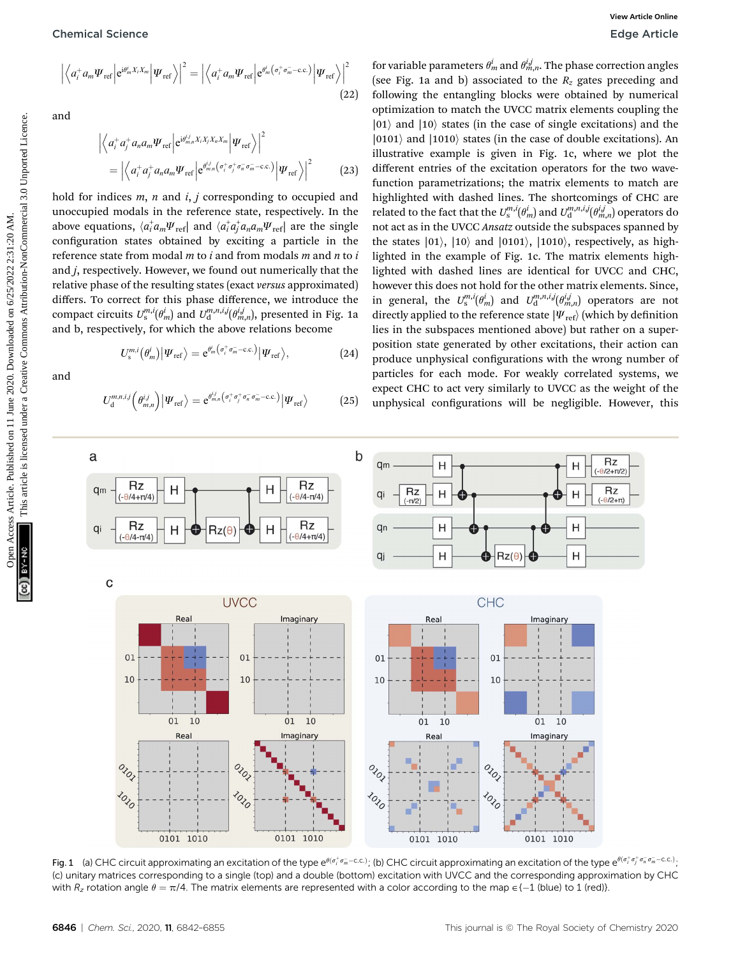$$
\left| \left\langle a_i^+ a_m \Psi_{\text{ref}} \right| e^{i \theta_m^i X_i X_m} \left| \Psi_{\text{ref}} \right\rangle \right|^2 = \left| \left\langle a_i^+ a_m \Psi_{\text{ref}} \right| e^{\theta_m^i \left( \sigma_i^+ \sigma_m^- - \text{c.c.} \right)} \left| \Psi_{\text{ref}} \right\rangle \right|^2 \tag{22}
$$

and

$$
\left| \left\langle a_i^+ a_j^+ a_n a_m \Psi_{\text{ref}} \left| e^{i \theta_{m,n}^{i,j} X_i X_j X_m X_m} \right| \Psi_{\text{ref}} \right\rangle \right|^2
$$
  
= 
$$
\left| \left\langle a_i^+ a_j^+ a_n a_m \Psi_{\text{ref}} \left| e^{\theta_{m,n}^{i,j} \left( \sigma_i^+ \sigma_j^+ \sigma_n^- \sigma_m^- - c.c. \right)} \right| \Psi_{\text{ref}} \right\rangle \right|^2
$$
 (23)

hold for indices  $m$ ,  $n$  and  $i$ ,  $j$  corresponding to occupied and unoccupied modals in the reference state, respectively. In the above equations,  $\langle a_i^{\dagger} a_m \Psi_{\text{ref}} |$  and  $\langle a_i^{\dagger} a_j^{\dagger} a_n a_m \Psi_{\text{ref}} |$  are the single configuration states obtained by exciting a particle in the reference state from modal  $m$  to  $i$  and from modals  $m$  and  $n$  to  $i$ and j, respectively. However, we found out numerically that the relative phase of the resulting states (exact versus approximated) differs. To correct for this phase difference, we introduce the compact circuits  $U^{m,i}_\mathrm{s}(\theta^i_m)$  and  $U^{m,n,i,j}_\mathrm{d}(\theta^{i,j}_{m,n})$ , presented in Fig. 1a and b, respectively, for which the above relations become

$$
U_s^{m,i}(\theta_m^i)|\Psi_{\text{ref}}\rangle = e^{\theta_m^i(\sigma_i^+\sigma_m^--c.c.)}| \Psi_{\text{ref}}\rangle,\tag{24}
$$

and

$$
U_{\rm d}^{m,n,i,j} \left( \theta_{m,n}^{i,j} \right) \left| \Psi_{\rm ref} \right\rangle = \mathrm{e}^{\theta_{m,n}^{i,j} \left( \sigma_i^+ \sigma_j^+ \sigma_m^- - \mathrm{c.c.} \right)} \left| \Psi_{\rm ref} \right\rangle \tag{25}
$$

for variable parameters  $\theta_m^i$  and  $\theta_{m,n}^{i,j}$ . The phase correction angles (see Fig. 1a and b) associated to the  $R_z$  gates preceding and following the entangling blocks were obtained by numerical optimization to match the UVCC matrix elements coupling the  $|01\rangle$  and  $|10\rangle$  states (in the case of single excitations) and the  $|0101\rangle$  and  $|1010\rangle$  states (in the case of double excitations). An illustrative example is given in Fig. 1c, where we plot the different entries of the excitation operators for the two wavefunction parametrizations; the matrix elements to match are highlighted with dashed lines. The shortcomings of CHC are related to the fact that the  $U^{m,i}_\mathrm{s}(\theta^{i}_m)$  and  $U^{m,n,i,j}_\mathrm{d}(\theta^{i,j}_{m,n})$  operators do not act as in the UVCC Ansatz outside the subspaces spanned by the states  $|01\rangle$ ,  $|10\rangle$  and  $|0101\rangle$ ,  $|1010\rangle$ , respectively, as highlighted in the example of Fig. 1c. The matrix elements highlighted with dashed lines are identical for UVCC and CHC, however this does not hold for the other matrix elements. Since, in general, the  $U_s^{m,i}(\theta_m^i)$  and  $U_d^{m,n,i,j}(\theta_{m,n}^{i,j})$  operators are not directly applied to the reference state  $|\Psi_{\text{ref}}\rangle$  (which by definition lies in the subspaces mentioned above) but rather on a superposition state generated by other excitations, their action can produce unphysical configurations with the wrong number of particles for each mode. For weakly correlated systems, we expect CHC to act very similarly to UVCC as the weight of the unphysical configurations will be negligible. However, this Chemical Science<br>  $\left|\left\langle \sigma_i^* \alpha_i w_m \right| e^{i\zeta_i x_m} \left| \psi_m \right\rangle \right|^2 = \left|\left\langle \sigma_i^* \alpha_i w_m \right| e^{i\zeta_i \left( v_i^* - v_m \right)} \right| \psi_m \right\rangle^2$  (See Figs 1s and 0 is excelled on the  $\mu$  there is line on the second commons are comparison to the seco



Fig. 1 (a) CHC circuit approximating an excitation of the type e $^{\theta(\sigma_i^+\sigma_m^- - c.c.)}$ ; (b) CHC circuit approximating an excitation of the type e $^{\theta(\sigma_i^+\sigma_j^+\sigma_m^-\sigma_c.c.)}$ ; (c) unitary matrices corresponding to a single (top) and a double (bottom) excitation with UVCC and the corresponding approximation by CHC with  $R_z$  rotation angle  $\theta = \pi/4$ . The matrix elements are represented with a color according to the map  $\epsilon$  {-1 (blue) to 1 (red)}.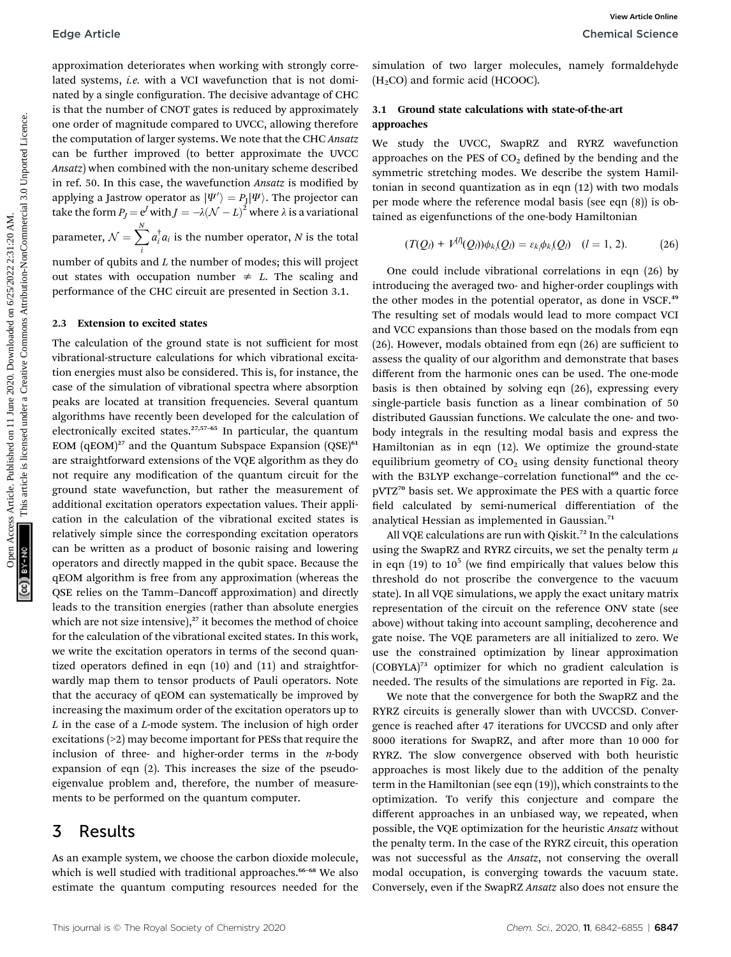approximation deteriorates when working with strongly correlated systems, i.e. with a VCI wavefunction that is not dominated by a single configuration. The decisive advantage of CHC is that the number of CNOT gates is reduced by approximately one order of magnitude compared to UVCC, allowing therefore the computation of larger systems. We note that the CHC Ansatz can be further improved (to better approximate the UVCC Ansatz) when combined with the non-unitary scheme described in ref. 50. In this case, the wavefunction Ansatz is modified by applying a Jastrow operator as  $|\Psi'\rangle = P_{J}|\Psi\rangle$ . The projector can take the form  $P_J = e^J$  with  $J = -\lambda (\mathcal{N} - L)^2$  where  $\lambda$  is a variational parameter,  $\mathcal{N} = \sum_{i}^{N}$  $a_i^{\dagger}a_i$  is the number operator, N is the total

number of qubits and L the number of modes; this will project out states with occupation number  $\neq L$ . The scaling and performance of the CHC circuit are presented in Section 3.1.

#### 2.3 Extension to excited states

The calculation of the ground state is not sufficient for most vibrational-structure calculations for which vibrational excitation energies must also be considered. This is, for instance, the case of the simulation of vibrational spectra where absorption peaks are located at transition frequencies. Several quantum algorithms have recently been developed for the calculation of electronically excited states.27,57–<sup>65</sup> In particular, the quantum EOM  $(qEOM)^{27}$  and the Quantum Subspace Expansion  $(QSE)^{61}$ are straightforward extensions of the VQE algorithm as they do not require any modification of the quantum circuit for the ground state wavefunction, but rather the measurement of additional excitation operators expectation values. Their application in the calculation of the vibrational excited states is relatively simple since the corresponding excitation operators can be written as a product of bosonic raising and lowering operators and directly mapped in the qubit space. Because the qEOM algorithm is free from any approximation (whereas the QSE relies on the Tamm–Dancoff approximation) and directly leads to the transition energies (rather than absolute energies which are not size intensive), $27$  it becomes the method of choice for the calculation of the vibrational excited states. In this work, we write the excitation operators in terms of the second quantized operators defined in eqn  $(10)$  and  $(11)$  and straightforwardly map them to tensor products of Pauli operators. Note that the accuracy of qEOM can systematically be improved by increasing the maximum order of the excitation operators up to  $L$  in the case of a  $L$ -mode system. The inclusion of high order excitations (>2) may become important for PESs that require the inclusion of three- and higher-order terms in the  $n$ -body expansion of eqn (2). This increases the size of the pseudoeigenvalue problem and, therefore, the number of measurements to be performed on the quantum computer.

### 3 Results

As an example system, we choose the carbon dioxide molecule, which is well studied with traditional approaches.<sup>66-68</sup> We also estimate the quantum computing resources needed for the

simulation of two larger molecules, namely formaldehyde  $(H<sub>2</sub>CO)$  and formic acid (HCOOC).

### 3.1 Ground state calculations with state-of-the-art approaches

We study the UVCC, SwapRZ and RYRZ wavefunction approaches on the PES of  $CO<sub>2</sub>$  defined by the bending and the symmetric stretching modes. We describe the system Hamiltonian in second quantization as in eqn (12) with two modals per mode where the reference modal basis (see eqn (8)) is obtained as eigenfunctions of the one-body Hamiltonian

$$
(T(Q_l) + V^{l|l}(Q_l))\phi_{k}(Q_l) = \varepsilon_{k} \phi_{k}(Q_l) \quad (l = 1, 2). \tag{26}
$$

One could include vibrational correlations in eqn (26) by introducing the averaged two- and higher-order couplings with the other modes in the potential operator, as done in VSCF.<sup>49</sup> The resulting set of modals would lead to more compact VCI and VCC expansions than those based on the modals from eqn (26). However, modals obtained from eqn (26) are sufficient to assess the quality of our algorithm and demonstrate that bases different from the harmonic ones can be used. The one-mode basis is then obtained by solving eqn (26), expressing every single-particle basis function as a linear combination of 50 distributed Gaussian functions. We calculate the one- and twobody integrals in the resulting modal basis and express the Hamiltonian as in eqn (12). We optimize the ground-state equilibrium geometry of  $CO<sub>2</sub>$  using density functional theory with the B3LYP exchange-correlation functional<sup>69</sup> and the ccpVTZ<sup>70</sup> basis set. We approximate the PES with a quartic force field calculated by semi-numerical differentiation of the analytical Hessian as implemented in Gaussian.<sup>71</sup> Edge Article<br>
approximation derivants when oreform that is proposition of two diagon multiplied on the signal control of the signal control of the signal control of the signal control of the signal control of the signal c

All VQE calculations are run with Qiskit.<sup>72</sup> In the calculations using the SwapRZ and RYRZ circuits, we set the penalty term  $\mu$ in eqn (19) to  $10<sup>5</sup>$  (we find empirically that values below this threshold do not proscribe the convergence to the vacuum state). In all VQE simulations, we apply the exact unitary matrix representation of the circuit on the reference ONV state (see above) without taking into account sampling, decoherence and gate noise. The VQE parameters are all initialized to zero. We use the constrained optimization by linear approximation (COBYLA)<sup>73</sup> optimizer for which no gradient calculation is needed. The results of the simulations are reported in Fig. 2a.

We note that the convergence for both the SwapRZ and the RYRZ circuits is generally slower than with UVCCSD. Convergence is reached after 47 iterations for UVCCSD and only after 8000 iterations for SwapRZ, and after more than 10 000 for RYRZ. The slow convergence observed with both heuristic approaches is most likely due to the addition of the penalty term in the Hamiltonian (see eqn (19)), which constraints to the optimization. To verify this conjecture and compare the different approaches in an unbiased way, we repeated, when possible, the VQE optimization for the heuristic Ansatz without the penalty term. In the case of the RYRZ circuit, this operation was not successful as the Ansatz, not conserving the overall modal occupation, is converging towards the vacuum state. Conversely, even if the SwapRZ Ansatz also does not ensure the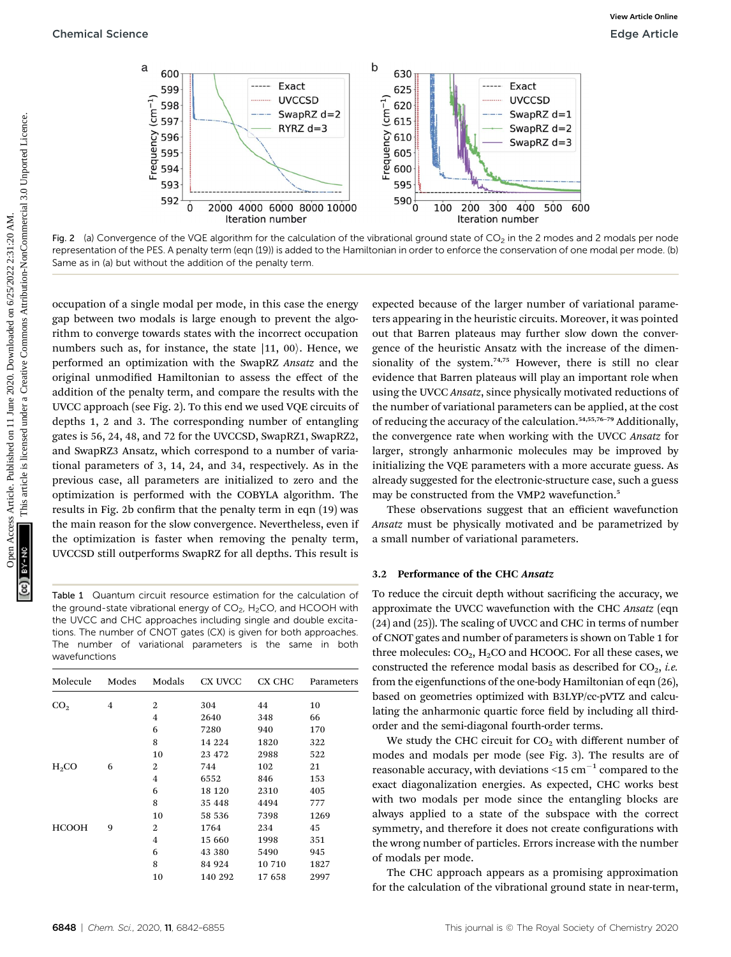



occupation of a single modal per mode, in this case the energy gap between two modals is large enough to prevent the algorithm to converge towards states with the incorrect occupation numbers such as, for instance, the state  $|11, 00\rangle$ . Hence, we performed an optimization with the SwapRZ Ansatz and the original unmodified Hamiltonian to assess the effect of the addition of the penalty term, and compare the results with the UVCC approach (see Fig. 2). To this end we used VQE circuits of depths 1, 2 and 3. The corresponding number of entangling gates is 56, 24, 48, and 72 for the UVCCSD, SwapRZ1, SwapRZ2, and SwapRZ3 Ansatz, which correspond to a number of variational parameters of 3, 14, 24, and 34, respectively. As in the previous case, all parameters are initialized to zero and the optimization is performed with the COBYLA algorithm. The results in Fig. 2b confirm that the penalty term in eqn (19) was the main reason for the slow convergence. Nevertheless, even if the optimization is faster when removing the penalty term, UVCCSD still outperforms SwapRZ for all depths. This result is

Table 1 Quantum circuit resource estimation for the calculation of the ground-state vibrational energy of  $CO<sub>2</sub>$ , H<sub>2</sub>CO, and HCOOH with the UVCC and CHC approaches including single and double excitations. The number of CNOT gates (CX) is given for both approaches. The number of variational parameters is the same in both wavefunctions

| Molecule        | Modes | Modals | CX UVCC | <b>CX CHC</b> | Parameters |
|-----------------|-------|--------|---------|---------------|------------|
| CO <sub>2</sub> | 4     | 2      | 304     | 44            | 10         |
|                 |       | 4      | 2640    | 348           | 66         |
|                 |       | 6      | 7280    | 940           | 170        |
|                 |       | 8      | 14 224  | 1820          | 322        |
|                 |       | 10     | 23 472  | 2988          | 522        |
| $H_2CO$         | 6     | 2      | 744     | 102           | 21         |
|                 |       | 4      | 6552    | 846           | 153        |
|                 |       | 6      | 18 120  | 2310          | 405        |
|                 |       | 8      | 35 448  | 4494          | 777        |
|                 |       | 10     | 58 536  | 7398          | 1269       |
| <b>HCOOH</b>    | 9     | 2      | 1764    | 234           | 45         |
|                 |       | 4      | 15 660  | 1998          | 351        |
|                 |       | 6      | 43 380  | 5490          | 945        |
|                 |       | 8      | 84 924  | 10 710        | 1827       |
|                 |       | 10     | 140 292 | 17658         | 2997       |
|                 |       |        |         |               |            |

expected because of the larger number of variational parameters appearing in the heuristic circuits. Moreover, it was pointed out that Barren plateaus may further slow down the convergence of the heuristic Ansatz with the increase of the dimensionality of the system.<sup>74,75</sup> However, there is still no clear evidence that Barren plateaus will play an important role when using the UVCC Ansatz, since physically motivated reductions of the number of variational parameters can be applied, at the cost of reducing the accuracy of the calculation.54,55,76–<sup>79</sup> Additionally, the convergence rate when working with the UVCC Ansatz for larger, strongly anharmonic molecules may be improved by initializing the VQE parameters with a more accurate guess. As already suggested for the electronic-structure case, such a guess may be constructed from the VMP2 wavefunction.<sup>5</sup>

These observations suggest that an efficient wavefunction Ansatz must be physically motivated and be parametrized by a small number of variational parameters.

#### 3.2 Performance of the CHC Ansatz

To reduce the circuit depth without sacrificing the accuracy, we approximate the UVCC wavefunction with the CHC Ansatz (eqn (24) and (25)). The scaling of UVCC and CHC in terms of number of CNOT gates and number of parameters is shown on Table 1 for three molecules:  $CO<sub>2</sub>$ ,  $H<sub>2</sub>CO$  and HCOOC. For all these cases, we constructed the reference modal basis as described for  $CO<sub>2</sub>$ , *i.e.* from the eigenfunctions of the one-body Hamiltonian of eqn (26), based on geometries optimized with B3LYP/cc-pVTZ and calculating the anharmonic quartic force field by including all thirdorder and the semi-diagonal fourth-order terms.

We study the CHC circuit for  $CO<sub>2</sub>$  with different number of modes and modals per mode (see Fig. 3). The results are of reasonable accuracy, with deviations  $\leq 15$  cm<sup>-1</sup> compared to the exact diagonalization energies. As expected, CHC works best with two modals per mode since the entangling blocks are always applied to a state of the subspace with the correct symmetry, and therefore it does not create configurations with the wrong number of particles. Errors increase with the number of modals per mode.

The CHC approach appears as a promising approximation for the calculation of the vibrational ground state in near-term,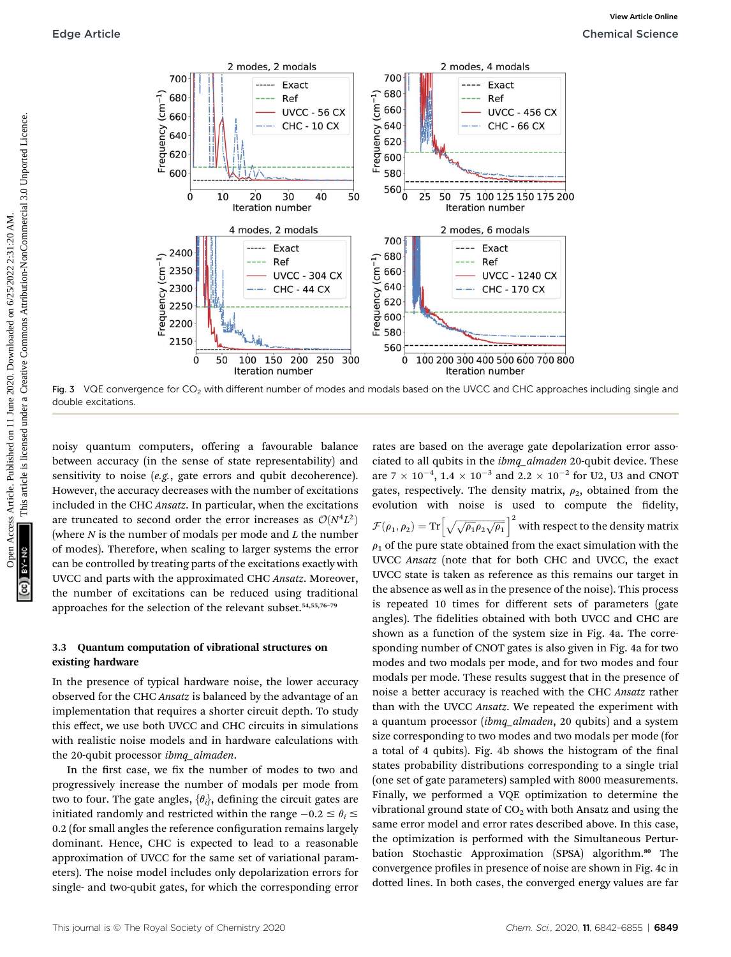

Fig. 3 VQE convergence for  $CO_2$  with different number of modes and modals based on the UVCC and CHC approaches including single and double excitations.

noisy quantum computers, offering a favourable balance between accuracy (in the sense of state representability) and sensitivity to noise (e.g., gate errors and qubit decoherence). However, the accuracy decreases with the number of excitations included in the CHC Ansatz. In particular, when the excitations are truncated to second order the error increases as  $\mathcal{O}(N^4L^2)$ (where  $N$  is the number of modals per mode and  $L$  the number of modes). Therefore, when scaling to larger systems the error can be controlled by treating parts of the excitations exactly with UVCC and parts with the approximated CHC Ansatz. Moreover, the number of excitations can be reduced using traditional approaches for the selection of the relevant subset.<sup>54,55,76-79</sup>

#### 3.3 Quantum computation of vibrational structures on existing hardware

In the presence of typical hardware noise, the lower accuracy observed for the CHC Ansatz is balanced by the advantage of an implementation that requires a shorter circuit depth. To study this effect, we use both UVCC and CHC circuits in simulations with realistic noise models and in hardware calculations with the 20-qubit processor ibmq\_almaden.

In the first case, we fix the number of modes to two and progressively increase the number of modals per mode from two to four. The gate angles,  $\{\theta_i\}$ , defining the circuit gates are initiated randomly and restricted within the range  $-0.2 \le \theta_i \le$ 0.2 (for small angles the reference configuration remains largely dominant. Hence, CHC is expected to lead to a reasonable approximation of UVCC for the same set of variational parameters). The noise model includes only depolarization errors for single- and two-qubit gates, for which the corresponding error rates are based on the average gate depolarization error associated to all qubits in the ibmq\_almaden 20-qubit device. These are 7  $\times$  10<sup>-4</sup>, 1.4  $\times$  10<sup>-3</sup> and 2.2  $\times$  10<sup>-2</sup> for U2, U3 and CNOT gates, respectively. The density matrix,  $\rho_2$ , obtained from the evolution with noise is used to compute the fidelity,  $\mathcal{F}(\rho_1,\rho_2)=\text{Tr}\Big[\sqrt{\sqrt{\rho_1}\rho_2\sqrt{\rho_1}}\,\Big]^2$  with respect to the density matrix  $\rho_1$  of the pure state obtained from the exact simulation with the UVCC Ansatz (note that for both CHC and UVCC, the exact UVCC state is taken as reference as this remains our target in the absence as well as in the presence of the noise). This process is repeated 10 times for different sets of parameters (gate angles). The fidelities obtained with both UVCC and CHC are shown as a function of the system size in Fig. 4a. The corresponding number of CNOT gates is also given in Fig. 4a for two modes and two modals per mode, and for two modes and four modals per mode. These results suggest that in the presence of noise a better accuracy is reached with the CHC Ansatz rather than with the UVCC Ansatz. We repeated the experiment with a quantum processor (ibmq\_almaden, 20 qubits) and a system size corresponding to two modes and two modals per mode (for a total of 4 qubits). Fig. 4b shows the histogram of the final states probability distributions corresponding to a single trial (one set of gate parameters) sampled with 8000 measurements. Finally, we performed a VQE optimization to determine the vibrational ground state of  $CO<sub>2</sub>$  with both Ansatz and using the same error model and error rates described above. In this case, the optimization is performed with the Simultaneous Perturbation Stochastic Approximation (SPSA) algorithm.<sup>80</sup> The convergence profiles in presence of noise are shown in Fig. 4c in dotted lines. In both cases, the converged energy values are far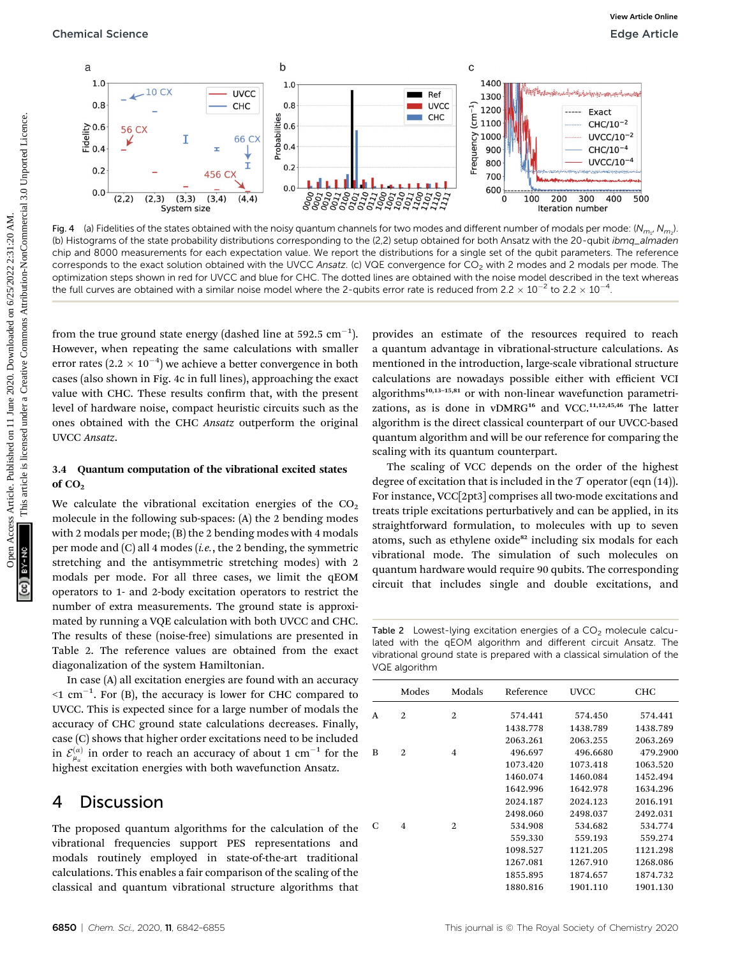

Fig. 4  $\,$  (a) Fidelities of the states obtained with the noisy quantum channels for two modes and different number of modals per mode: (N $_{m_{1'}}$ , N $_{m_{2}}$ ). (b) Histograms of the state probability distributions corresponding to the (2,2) setup obtained for both Ansatz with the 20-qubit ibmq\_almaden chip and 8000 measurements for each expectation value. We report the distributions for a single set of the qubit parameters. The reference corresponds to the exact solution obtained with the UVCC Ansatz. (c) VQE convergence for CO<sub>2</sub> with 2 modes and 2 modals per mode. The optimization steps shown in red for UVCC and blue for CHC. The dotted lines are obtained with the noise model described in the text whereas the full curves are obtained with a similar noise model where the 2-qubits error rate is reduced from 2.2  $\times$  10<sup>-2</sup> to 2.2  $\times$  10<sup>-4</sup>.

from the true ground state energy (dashed line at 592.5  $\rm cm^{-1}$ ). However, when repeating the same calculations with smaller error rates  $(2.2 \times 10^{-4})$  we achieve a better convergence in both cases (also shown in Fig. 4c in full lines), approaching the exact value with CHC. These results confirm that, with the present level of hardware noise, compact heuristic circuits such as the ones obtained with the CHC Ansatz outperform the original UVCC Ansatz.

#### 3.4 Quantum computation of the vibrational excited states of CO<sub>2</sub>

We calculate the vibrational excitation energies of the  $CO<sub>2</sub>$ molecule in the following sub-spaces: (A) the 2 bending modes with 2 modals per mode; (B) the 2 bending modes with 4 modals per mode and  $(C)$  all 4 modes (*i.e.*, the 2 bending, the symmetric stretching and the antisymmetric stretching modes) with 2 modals per mode. For all three cases, we limit the qEOM operators to 1- and 2-body excitation operators to restrict the number of extra measurements. The ground state is approximated by running a VQE calculation with both UVCC and CHC. The results of these (noise-free) simulations are presented in Table 2. The reference values are obtained from the exact diagonalization of the system Hamiltonian.

In case (A) all excitation energies are found with an accuracy  $\leq$ 1 cm<sup>-1</sup>. For (B), the accuracy is lower for CHC compared to UVCC. This is expected since for a large number of modals the accuracy of CHC ground state calculations decreases. Finally, case (C) shows that higher order excitations need to be included in  $\mathcal{E}_{\mu_{\alpha}}^{(\alpha)}$  in order to reach an accuracy of about 1 cm<sup>-1</sup> for the highest excitation energies with both wavefunction Ansatz.

### 4 Discussion

The proposed quantum algorithms for the calculation of the vibrational frequencies support PES representations and modals routinely employed in state-of-the-art traditional calculations. This enables a fair comparison of the scaling of the classical and quantum vibrational structure algorithms that

provides an estimate of the resources required to reach a quantum advantage in vibrational-structure calculations. As mentioned in the introduction, large-scale vibrational structure calculations are nowadays possible either with efficient VCI algorithms<sup>10,13-15,81</sup> or with non-linear wavefunction parametrizations, as is done in vDMRG<sup>16</sup> and VCC.<sup>11,12,45,46</sup> The latter algorithm is the direct classical counterpart of our UVCC-based quantum algorithm and will be our reference for comparing the scaling with its quantum counterpart.

The scaling of VCC depends on the order of the highest degree of excitation that is included in the  $T$  operator (eqn (14)). For instance, VCC[2pt3] comprises all two-mode excitations and treats triple excitations perturbatively and can be applied, in its straightforward formulation, to molecules with up to seven atoms, such as ethylene oxide<sup>82</sup> including six modals for each vibrational mode. The simulation of such molecules on quantum hardware would require 90 qubits. The corresponding circuit that includes single and double excitations, and

Table 2 Lowest-lying excitation energies of a  $CO<sub>2</sub>$  molecule calculated with the qEOM algorithm and different circuit Ansatz. The vibrational ground state is prepared with a classical simulation of the VQE algorithm

|   | Modes        | Modals         | Reference | <b>UVCC</b> | <b>CHC</b> |
|---|--------------|----------------|-----------|-------------|------------|
| A | $\mathbf{2}$ | 2              | 574.441   | 574.450     | 574.441    |
|   |              |                | 1438.778  | 1438.789    | 1438.789   |
|   |              |                | 2063.261  | 2063.255    | 2063.269   |
| B | 2            | $\overline{4}$ | 496.697   | 496.6680    | 479.2900   |
|   |              |                | 1073.420  | 1073.418    | 1063.520   |
|   |              |                | 1460.074  | 1460.084    | 1452.494   |
|   |              |                | 1642.996  | 1642.978    | 1634.296   |
|   |              |                | 2024.187  | 2024.123    | 2016.191   |
|   |              |                | 2498.060  | 2498.037    | 2492.031   |
| C | 4            | 2              | 534.908   | 534.682     | 534.774    |
|   |              |                | 559.330   | 559.193     | 559.274    |
|   |              |                | 1098.527  | 1121.205    | 1121.298   |
|   |              |                | 1267.081  | 1267.910    | 1268.086   |
|   |              |                | 1855.895  | 1874.657    | 1874.732   |
|   |              |                | 1880.816  | 1901.110    | 1901.130   |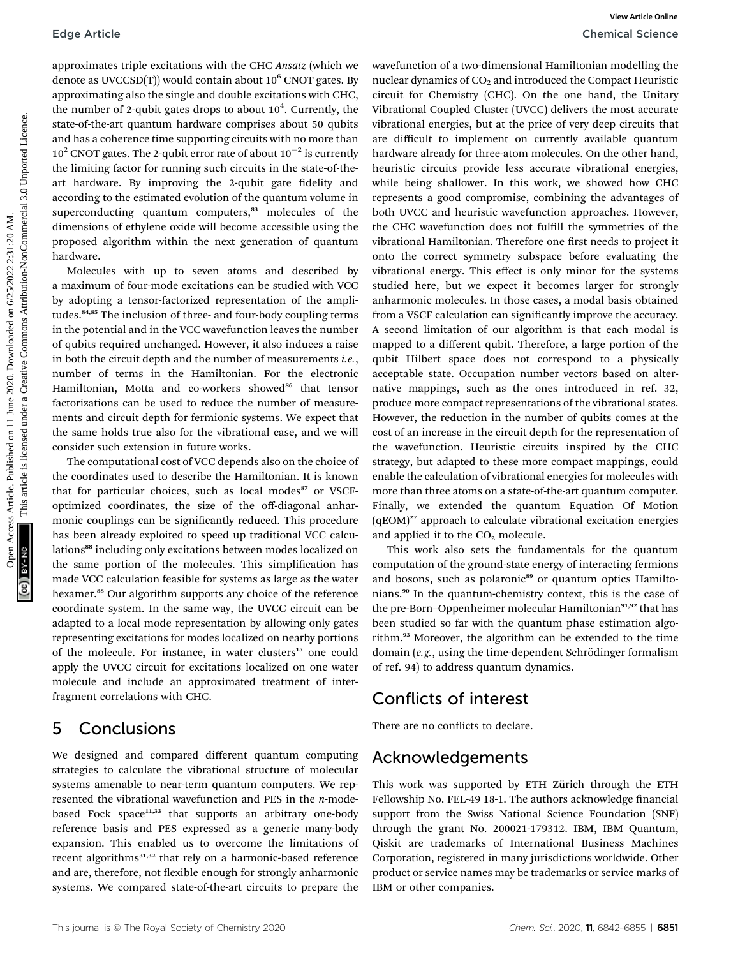approximates triple excitations with the CHC Ansatz (which we denote as UVCCSD(T)) would contain about  $10^6$  CNOT gates. By approximating also the single and double excitations with CHC, the number of 2-qubit gates drops to about  $10^4$ . Currently, the state-of-the-art quantum hardware comprises about 50 qubits and has a coherence time supporting circuits with no more than  $10<sup>2</sup>$  CNOT gates. The 2-qubit error rate of about  $10<sup>-2</sup>$  is currently the limiting factor for running such circuits in the state-of-theart hardware. By improving the 2-qubit gate fidelity and according to the estimated evolution of the quantum volume in superconducting quantum computers,<sup>83</sup> molecules of the dimensions of ethylene oxide will become accessible using the proposed algorithm within the next generation of quantum hardware.

Molecules with up to seven atoms and described by a maximum of four-mode excitations can be studied with VCC by adopting a tensor-factorized representation of the amplitudes.84,85 The inclusion of three- and four-body coupling terms in the potential and in the VCC wavefunction leaves the number of qubits required unchanged. However, it also induces a raise in both the circuit depth and the number of measurements i.e., number of terms in the Hamiltonian. For the electronic Hamiltonian, Motta and co-workers showed<sup>86</sup> that tensor factorizations can be used to reduce the number of measurements and circuit depth for fermionic systems. We expect that the same holds true also for the vibrational case, and we will consider such extension in future works.

The computational cost of VCC depends also on the choice of the coordinates used to describe the Hamiltonian. It is known that for particular choices, such as local modes<sup>87</sup> or VSCFoptimized coordinates, the size of the off-diagonal anharmonic couplings can be significantly reduced. This procedure has been already exploited to speed up traditional VCC calculations<sup>88</sup> including only excitations between modes localized on the same portion of the molecules. This simplification has made VCC calculation feasible for systems as large as the water hexamer.<sup>88</sup> Our algorithm supports any choice of the reference coordinate system. In the same way, the UVCC circuit can be adapted to a local mode representation by allowing only gates representing excitations for modes localized on nearby portions of the molecule. For instance, in water clusters<sup>15</sup> one could apply the UVCC circuit for excitations localized on one water molecule and include an approximated treatment of interfragment correlations with CHC.

### 5 Conclusions

We designed and compared different quantum computing strategies to calculate the vibrational structure of molecular systems amenable to near-term quantum computers. We represented the vibrational wavefunction and PES in the n-modebased Fock space<sup>11,33</sup> that supports an arbitrary one-body reference basis and PES expressed as a generic many-body expansion. This enabled us to overcome the limitations of recent algorithms<sup>31,32</sup> that rely on a harmonic-based reference and are, therefore, not flexible enough for strongly anharmonic systems. We compared state-of-the-art circuits to prepare the

wavefunction of a two-dimensional Hamiltonian modelling the nuclear dynamics of  $CO<sub>2</sub>$  and introduced the Compact Heuristic circuit for Chemistry (CHC). On the one hand, the Unitary Vibrational Coupled Cluster (UVCC) delivers the most accurate vibrational energies, but at the price of very deep circuits that are difficult to implement on currently available quantum hardware already for three-atom molecules. On the other hand, heuristic circuits provide less accurate vibrational energies, while being shallower. In this work, we showed how CHC represents a good compromise, combining the advantages of both UVCC and heuristic wavefunction approaches. However, the CHC wavefunction does not fulfill the symmetries of the vibrational Hamiltonian. Therefore one first needs to project it onto the correct symmetry subspace before evaluating the vibrational energy. This effect is only minor for the systems studied here, but we expect it becomes larger for strongly anharmonic molecules. In those cases, a modal basis obtained from a VSCF calculation can significantly improve the accuracy. A second limitation of our algorithm is that each modal is mapped to a different qubit. Therefore, a large portion of the qubit Hilbert space does not correspond to a physically acceptable state. Occupation number vectors based on alternative mappings, such as the ones introduced in ref. 32, produce more compact representations of the vibrational states. However, the reduction in the number of qubits comes at the cost of an increase in the circuit depth for the representation of the wavefunction. Heuristic circuits inspired by the CHC strategy, but adapted to these more compact mappings, could enable the calculation of vibrational energies for molecules with more than three atoms on a state-of-the-art quantum computer. Finally, we extended the quantum Equation Of Motion  $(qEOM)^{27}$  approach to calculate vibrational excitation energies and applied it to the  $CO<sub>2</sub>$  molecule. Edge Article<br>
approximates the context of the context of the context of the context of the context of the context of the context of the context of the context of the context of the context of the context of the context of

This work also sets the fundamentals for the quantum computation of the ground-state energy of interacting fermions and bosons, such as polaronic<sup>89</sup> or quantum optics Hamiltonians.<sup>90</sup> In the quantum-chemistry context, this is the case of the pre-Born-Oppenheimer molecular Hamiltonian<sup>91,92</sup> that has been studied so far with the quantum phase estimation algorithm.<sup>93</sup> Moreover, the algorithm can be extended to the time domain (e.g., using the time-dependent Schrödinger formalism of ref. 94) to address quantum dynamics.

## Conflicts of interest

There are no conflicts to declare.

## Acknowledgements

This work was supported by ETH Zürich through the ETH Fellowship No. FEL-49 18-1. The authors acknowledge financial support from the Swiss National Science Foundation (SNF) through the grant No. 200021-179312. IBM, IBM Quantum, Qiskit are trademarks of International Business Machines Corporation, registered in many jurisdictions worldwide. Other product or service names may be trademarks or service marks of IBM or other companies.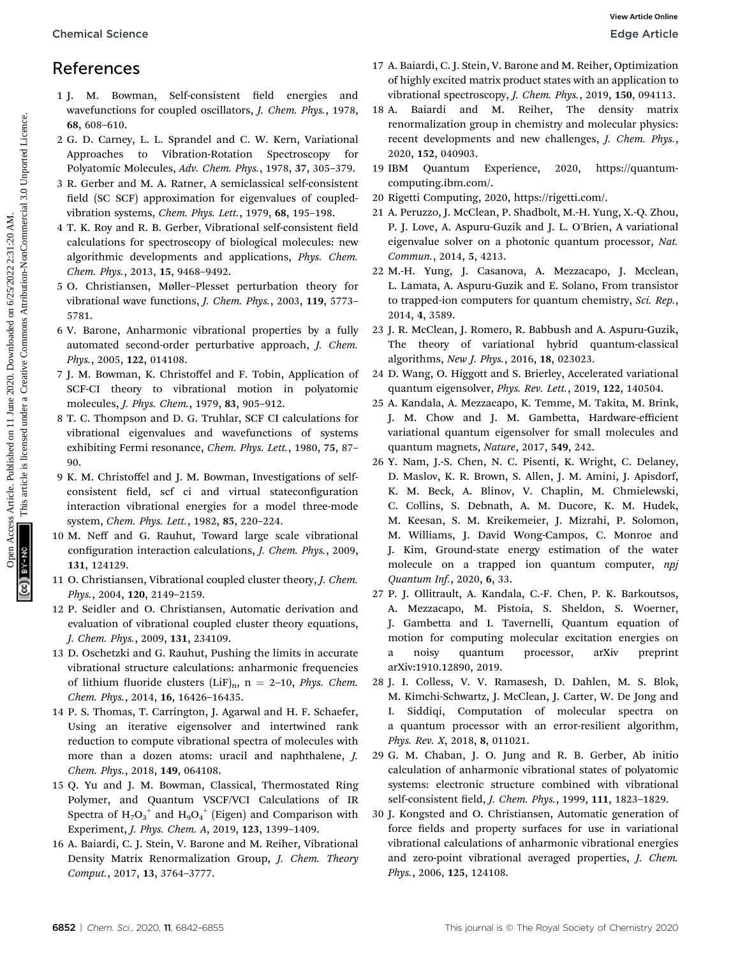# References

- 1 J. M. Bowman, Self-consistent field energies and wavefunctions for coupled oscillators, J. Chem. Phys., 1978, 68, 608–610.
- 2 G. D. Carney, L. L. Sprandel and C. W. Kern, Variational Approaches to Vibration-Rotation Spectroscopy for Polyatomic Molecules, Adv. Chem. Phys., 1978, 37, 305–379.
- 3 R. Gerber and M. A. Ratner, A semiclassical self-consistent field (SC SCF) approximation for eigenvalues of coupledvibration systems, Chem. Phys. Lett., 1979, 68, 195–198.
- 4 T. K. Roy and R. B. Gerber, Vibrational self-consistent field calculations for spectroscopy of biological molecules: new algorithmic developments and applications, Phys. Chem. Chem. Phys., 2013, 15, 9468–9492.
- 5 O. Christiansen, Møller–Plesset perturbation theory for vibrational wave functions, J. Chem. Phys., 2003, 119, 5773– 5781.
- 6 V. Barone, Anharmonic vibrational properties by a fully automated second-order perturbative approach, J. Chem. Phys., 2005, 122, 014108.
- 7 J. M. Bowman, K. Christoffel and F. Tobin, Application of SCF-CI theory to vibrational motion in polyatomic molecules, J. Phys. Chem., 1979, 83, 905–912.
- 8 T. C. Thompson and D. G. Truhlar, SCF CI calculations for vibrational eigenvalues and wavefunctions of systems exhibiting Fermi resonance, Chem. Phys. Lett., 1980, 75, 87– 90.
- 9 K. M. Christoffel and J. M. Bowman, Investigations of selfconsistent field, scf ci and virtual stateconfiguration interaction vibrational energies for a model three-mode system, Chem. Phys. Lett., 1982, 85, 220–224.
- 10 M. Neff and G. Rauhut, Toward large scale vibrational configuration interaction calculations, J. Chem. Phys., 2009, 131, 124129.
- 11 O. Christiansen, Vibrational coupled cluster theory, J. Chem. Phys., 2004, 120, 2149–2159.
- 12 P. Seidler and O. Christiansen, Automatic derivation and evaluation of vibrational coupled cluster theory equations, J. Chem. Phys., 2009, 131, 234109.
- 13 D. Oschetzki and G. Rauhut, Pushing the limits in accurate vibrational structure calculations: anharmonic frequencies of lithium fluoride clusters (LiF)<sub>n</sub>,  $n = 2-10$ , *Phys. Chem.* Chem. Phys., 2014, 16, 16426–16435.
- 14 P. S. Thomas, T. Carrington, J. Agarwal and H. F. Schaefer, Using an iterative eigensolver and intertwined rank reduction to compute vibrational spectra of molecules with more than a dozen atoms: uracil and naphthalene, J. Chem. Phys., 2018, 149, 064108.
- 15 Q. Yu and J. M. Bowman, Classical, Thermostated Ring Polymer, and Quantum VSCF/VCI Calculations of IR Spectra of  $H_7O_3^+$  and  $H_9O_4^+$  (Eigen) and Comparison with Experiment, J. Phys. Chem. A, 2019, 123, 1399–1409.
- 16 A. Baiardi, C. J. Stein, V. Barone and M. Reiher, Vibrational Density Matrix Renormalization Group, J. Chem. Theory Comput., 2017, 13, 3764–3777.
- 17 A. Baiardi, C. J. Stein, V. Barone and M. Reiher, Optimization of highly excited matrix product states with an application to vibrational spectroscopy, J. Chem. Phys., 2019, 150, 094113.
- 18 A. Baiardi and M. Reiher, The density matrix renormalization group in chemistry and molecular physics: recent developments and new challenges, J. Chem. Phys., 2020, 152, 040903.
- 19 IBM Quantum Experience, 2020, https://quantumcomputing.ibm.com/.
- 20 Rigetti Computing, 2020, https://rigetti.com/.
- 21 A. Peruzzo, J. McClean, P. Shadbolt, M.-H. Yung, X.-Q. Zhou, P. J. Love, A. Aspuru-Guzik and J. L. O'Brien, A variational eigenvalue solver on a photonic quantum processor, Nat. Commun., 2014, 5, 4213.
- 22 M.-H. Yung, J. Casanova, A. Mezzacapo, J. Mcclean, L. Lamata, A. Aspuru-Guzik and E. Solano, From transistor to trapped-ion computers for quantum chemistry, Sci. Rep., 2014, 4, 3589.
- 23 J. R. McClean, J. Romero, R. Babbush and A. Aspuru-Guzik, The theory of variational hybrid quantum-classical algorithms, New J. Phys., 2016, 18, 023023.
- 24 D. Wang, O. Higgott and S. Brierley, Accelerated variational quantum eigensolver, Phys. Rev. Lett., 2019, 122, 140504.
- 25 A. Kandala, A. Mezzacapo, K. Temme, M. Takita, M. Brink, J. M. Chow and J. M. Gambetta, Hardware-efficient variational quantum eigensolver for small molecules and quantum magnets, Nature, 2017, 549, 242.
- 26 Y. Nam, J.-S. Chen, N. C. Pisenti, K. Wright, C. Delaney, D. Maslov, K. R. Brown, S. Allen, J. M. Amini, J. Apisdorf, K. M. Beck, A. Blinov, V. Chaplin, M. Chmielewski, C. Collins, S. Debnath, A. M. Ducore, K. M. Hudek, M. Keesan, S. M. Kreikemeier, J. Mizrahi, P. Solomon, M. Williams, J. David Wong-Campos, C. Monroe and J. Kim, Ground-state energy estimation of the water molecule on a trapped ion quantum computer, npj Quantum Inf., 2020, 6, 33. Chemical Science<br> **Referencess**<br>
The Monte article is line and the statistical content in the statistical content in the statistical content in the statistical commons are a statistical on the statistical content in the s
	- 27 P. J. Ollitrault, A. Kandala, C.-F. Chen, P. K. Barkoutsos, A. Mezzacapo, M. Pistoia, S. Sheldon, S. Woerner, J. Gambetta and I. Tavernelli, Quantum equation of motion for computing molecular excitation energies on a noisy quantum processor, arXiv preprint arXiv:1910.12890, 2019.
	- 28 J. I. Colless, V. V. Ramasesh, D. Dahlen, M. S. Blok, M. Kimchi-Schwartz, J. McClean, J. Carter, W. De Jong and I. Siddiqi, Computation of molecular spectra on a quantum processor with an error-resilient algorithm, Phys. Rev. X, 2018, 8, 011021.
	- 29 G. M. Chaban, J. O. Jung and R. B. Gerber, Ab initio calculation of anharmonic vibrational states of polyatomic systems: electronic structure combined with vibrational self-consistent field, *J. Chem. Phys.*, 1999, 111, 1823-1829.
	- 30 J. Kongsted and O. Christiansen, Automatic generation of force fields and property surfaces for use in variational vibrational calculations of anharmonic vibrational energies and zero-point vibrational averaged properties, J. Chem. Phys., 2006, 125, 124108.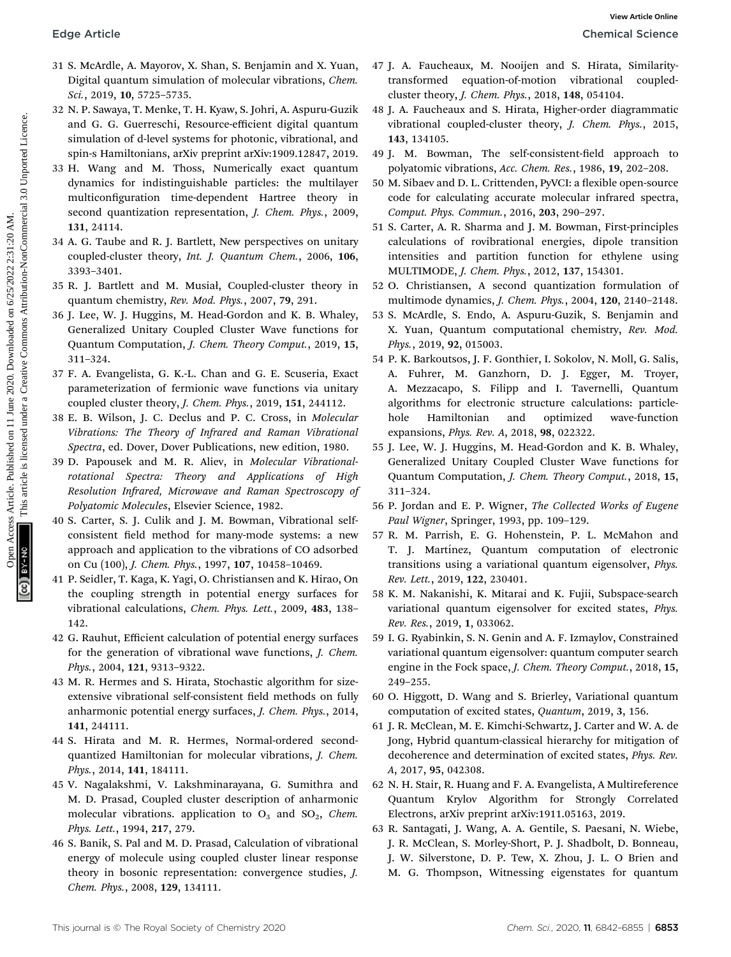- 31 S. McArdle, A. Mayorov, X. Shan, S. Benjamin and X. Yuan, Digital quantum simulation of molecular vibrations, Chem. Sci., 2019, 10, 5725–5735.
- 32 N. P. Sawaya, T. Menke, T. H. Kyaw, S. Johri, A. Aspuru-Guzik and G. G. Guerreschi, Resource-efficient digital quantum simulation of d-level systems for photonic, vibrational, and spin-s Hamiltonians, arXiv preprint arXiv:1909.12847, 2019.
- 33 H. Wang and M. Thoss, Numerically exact quantum dynamics for indistinguishable particles: the multilayer multiconfiguration time-dependent Hartree theory in second quantization representation, J. Chem. Phys., 2009, 131, 24114.
- 34 A. G. Taube and R. J. Bartlett, New perspectives on unitary coupled-cluster theory, Int. J. Quantum Chem., 2006, 106, 3393–3401.
- 35 R. J. Bartlett and M. Musiał, Coupled-cluster theory in quantum chemistry, Rev. Mod. Phys., 2007, 79, 291.
- 36 J. Lee, W. J. Huggins, M. Head-Gordon and K. B. Whaley, Generalized Unitary Coupled Cluster Wave functions for Quantum Computation, J. Chem. Theory Comput., 2019, 15, 311–324.
- 37 F. A. Evangelista, G. K.-L. Chan and G. E. Scuseria, Exact parameterization of fermionic wave functions via unitary coupled cluster theory, J. Chem. Phys., 2019, 151, 244112.
- 38 E. B. Wilson, J. C. Declus and P. C. Cross, in Molecular Vibrations: The Theory of Infrared and Raman Vibrational Spectra, ed. Dover, Dover Publications, new edition, 1980.
- 39 D. Papousek and M. R. Aliev, in Molecular Vibrationalrotational Spectra: Theory and Applications of High Resolution Infrared, Microwave and Raman Spectroscopy of Polyatomic Molecules, Elsevier Science, 1982.
- 40 S. Carter, S. J. Culik and J. M. Bowman, Vibrational selfconsistent field method for many-mode systems: a new approach and application to the vibrations of CO adsorbed on Cu (100), J. Chem. Phys., 1997, 107, 10458–10469.
- 41 P. Seidler, T. Kaga, K. Yagi, O. Christiansen and K. Hirao, On the coupling strength in potential energy surfaces for vibrational calculations, Chem. Phys. Lett., 2009, 483, 138– 142.
- 42 G. Rauhut, Efficient calculation of potential energy surfaces for the generation of vibrational wave functions, *J. Chem.* Phys., 2004, 121, 9313–9322.
- 43 M. R. Hermes and S. Hirata, Stochastic algorithm for sizeextensive vibrational self-consistent field methods on fully anharmonic potential energy surfaces, J. Chem. Phys., 2014, 141, 244111.
- 44 S. Hirata and M. R. Hermes, Normal-ordered secondquantized Hamiltonian for molecular vibrations, *J. Chem.* Phys., 2014, 141, 184111.
- 45 V. Nagalakshmi, V. Lakshminarayana, G. Sumithra and M. D. Prasad, Coupled cluster description of anharmonic molecular vibrations. application to  $O_3$  and  $SO_2$ , *Chem.* Phys. Lett., 1994, 217, 279.
- 46 S. Banik, S. Pal and M. D. Prasad, Calculation of vibrational energy of molecule using coupled cluster linear response theory in bosonic representation: convergence studies, J. Chem. Phys., 2008, 129, 134111.
- 47 J. A. Faucheaux, M. Nooijen and S. Hirata, Similaritytransformed equation-of-motion vibrational coupledcluster theory, J. Chem. Phys., 2018, 148, 054104.
- 48 J. A. Faucheaux and S. Hirata, Higher-order diagrammatic vibrational coupled-cluster theory, J. Chem. Phys., 2015, 143, 134105.
- 49 J. M. Bowman, The self-consistent-field approach to polyatomic vibrations, Acc. Chem. Res., 1986, 19, 202–208.
- 50 M. Sibaev and D. L. Crittenden, PyVCI: a flexible open-source code for calculating accurate molecular infrared spectra, Comput. Phys. Commun., 2016, 203, 290–297.
- 51 S. Carter, A. R. Sharma and J. M. Bowman, First-principles calculations of rovibrational energies, dipole transition intensities and partition function for ethylene using MULTIMODE, J. Chem. Phys., 2012, 137, 154301.
- 52 O. Christiansen, A second quantization formulation of multimode dynamics, J. Chem. Phys., 2004, 120, 2140–2148.
- 53 S. McArdle, S. Endo, A. Aspuru-Guzik, S. Benjamin and X. Yuan, Quantum computational chemistry, Rev. Mod. Phys., 2019, 92, 015003.
- 54 P. K. Barkoutsos, J. F. Gonthier, I. Sokolov, N. Moll, G. Salis, A. Fuhrer, M. Ganzhorn, D. J. Egger, M. Troyer, A. Mezzacapo, S. Filipp and I. Tavernelli, Quantum algorithms for electronic structure calculations: particlehole Hamiltonian and optimized wave-function expansions, Phys. Rev. A, 2018, 98, 022322. Edge Article Chemical Solution, A. Sharika A. Mayonw, X. Sharika A. Sharika A. Sharika A. Sharika A. Sharika A. Sharika A. Sharika A. Sharika A. Sharika A. Sharika A. Sharika A. Sharika A. Sharika A. Sharika A. Sharika A.
	- 55 J. Lee, W. J. Huggins, M. Head-Gordon and K. B. Whaley, Generalized Unitary Coupled Cluster Wave functions for Quantum Computation, J. Chem. Theory Comput., 2018, 15, 311–324.
	- 56 P. Jordan and E. P. Wigner, The Collected Works of Eugene Paul Wigner, Springer, 1993, pp. 109–129.
	- 57 R. M. Parrish, E. G. Hohenstein, P. L. McMahon and T. J. Martínez, Quantum computation of electronic transitions using a variational quantum eigensolver, Phys. Rev. Lett., 2019, 122, 230401.
	- 58 K. M. Nakanishi, K. Mitarai and K. Fujii, Subspace-search variational quantum eigensolver for excited states, Phys. Rev. Res., 2019, 1, 033062.
	- 59 I. G. Ryabinkin, S. N. Genin and A. F. Izmaylov, Constrained variational quantum eigensolver: quantum computer search engine in the Fock space, *J. Chem. Theory Comput.*, 2018, 15, 249–255.
	- 60 O. Higgott, D. Wang and S. Brierley, Variational quantum computation of excited states, Quantum, 2019, 3, 156.
	- 61 J. R. McClean, M. E. Kimchi-Schwartz, J. Carter and W. A. de Jong, Hybrid quantum-classical hierarchy for mitigation of decoherence and determination of excited states, Phys. Rev. A, 2017, 95, 042308.
	- 62 N. H. Stair, R. Huang and F. A. Evangelista, A Multireference Quantum Krylov Algorithm for Strongly Correlated Electrons, arXiv preprint arXiv:1911.05163, 2019.
	- 63 R. Santagati, J. Wang, A. A. Gentile, S. Paesani, N. Wiebe, J. R. McClean, S. Morley-Short, P. J. Shadbolt, D. Bonneau, J. W. Silverstone, D. P. Tew, X. Zhou, J. L. O Brien and M. G. Thompson, Witnessing eigenstates for quantum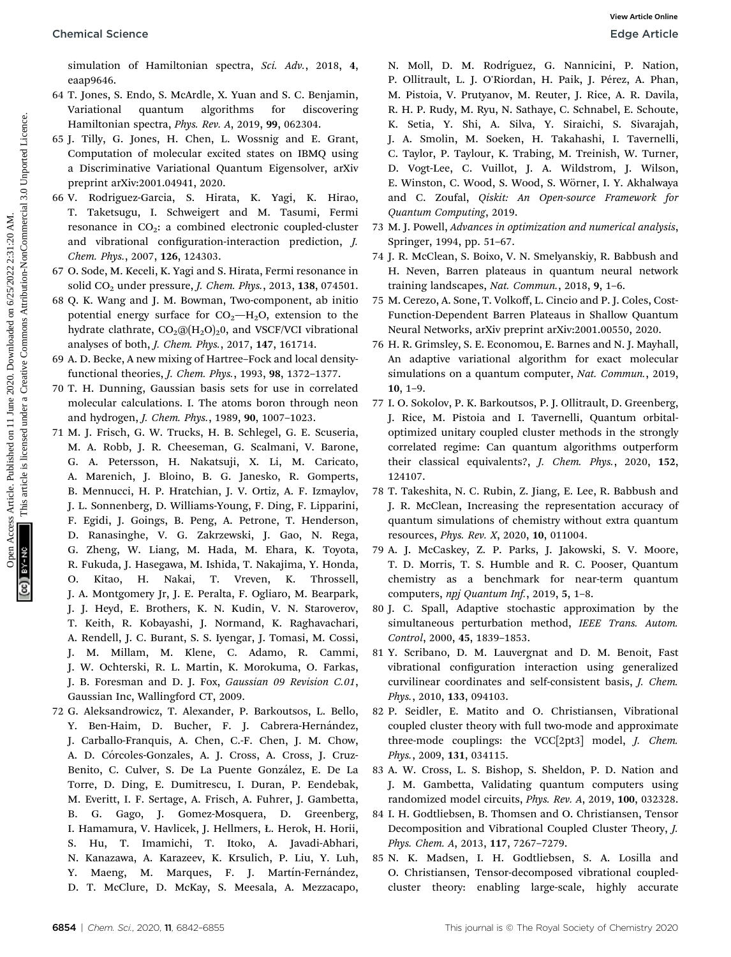simulation of Hamiltonian spectra, Sci. Adv., 2018, 4, eaap9646.

- 64 T. Jones, S. Endo, S. McArdle, X. Yuan and S. C. Benjamin, Variational quantum algorithms for discovering Hamiltonian spectra, Phys. Rev. A, 2019, 99, 062304.
- 65 J. Tilly, G. Jones, H. Chen, L. Wossnig and E. Grant, Computation of molecular excited states on IBMQ using a Discriminative Variational Quantum Eigensolver, arXiv preprint arXiv:2001.04941, 2020.
- 66 V. Rodriguez-Garcia, S. Hirata, K. Yagi, K. Hirao, T. Taketsugu, I. Schweigert and M. Tasumi, Fermi resonance in  $CO<sub>2</sub>$ : a combined electronic coupled-cluster and vibrational configuration-interaction prediction, *J.* Chem. Phys., 2007, 126, 124303.
- 67 O. Sode, M. Keceli, K. Yagi and S. Hirata, Fermi resonance in solid  $CO<sub>2</sub>$  under pressure, *J. Chem. Phys.*, 2013, 138, 074501.
- 68 Q. K. Wang and J. M. Bowman, Two-component, ab initio potential energy surface for  $CO<sub>2</sub>–H<sub>2</sub>O$ , extension to the hydrate clathrate,  $CO_2(\mathfrak{D}(H_2O)_2)$ , and VSCF/VCI vibrational analyses of both, J. Chem. Phys., 2017, 147, 161714.
- 69 A. D. Becke, A new mixing of Hartree–Fock and local densityfunctional theories, J. Chem. Phys., 1993, 98, 1372–1377.
- 70 T. H. Dunning, Gaussian basis sets for use in correlated molecular calculations. I. The atoms boron through neon and hydrogen, J. Chem. Phys., 1989, 90, 1007–1023.
- 71 M. J. Frisch, G. W. Trucks, H. B. Schlegel, G. E. Scuseria, M. A. Robb, J. R. Cheeseman, G. Scalmani, V. Barone, G. A. Petersson, H. Nakatsuji, X. Li, M. Caricato, A. Marenich, J. Bloino, B. G. Janesko, R. Gomperts, B. Mennucci, H. P. Hratchian, J. V. Ortiz, A. F. Izmaylov, J. L. Sonnenberg, D. Williams-Young, F. Ding, F. Lipparini, F. Egidi, J. Goings, B. Peng, A. Petrone, T. Henderson, D. Ranasinghe, V. G. Zakrzewski, J. Gao, N. Rega, G. Zheng, W. Liang, M. Hada, M. Ehara, K. Toyota, R. Fukuda, J. Hasegawa, M. Ishida, T. Nakajima, Y. Honda, O. Kitao, H. Nakai, T. Vreven, K. Throssell, J. A. Montgomery Jr, J. E. Peralta, F. Ogliaro, M. Bearpark, J. J. Heyd, E. Brothers, K. N. Kudin, V. N. Staroverov, T. Keith, R. Kobayashi, J. Normand, K. Raghavachari, A. Rendell, J. C. Burant, S. S. Iyengar, J. Tomasi, M. Cossi, J. M. Millam, M. Klene, C. Adamo, R. Cammi, J. W. Ochterski, R. L. Martin, K. Morokuma, O. Farkas, J. B. Foresman and D. J. Fox, Gaussian 09 Revision C.01, Gaussian Inc, Wallingford CT, 2009.
- 72 G. Aleksandrowicz, T. Alexander, P. Barkoutsos, L. Bello, Y. Ben-Haim, D. Bucher, F. J. Cabrera-Hernández, J. Carballo-Franquis, A. Chen, C.-F. Chen, J. M. Chow, A. D. Córcoles-Gonzales, A. J. Cross, A. Cross, J. Cruz-Benito, C. Culver, S. De La Puente González, E. De La Torre, D. Ding, E. Dumitrescu, I. Duran, P. Eendebak, M. Everitt, I. F. Sertage, A. Frisch, A. Fuhrer, J. Gambetta, B. G. Gago, J. Gomez-Mosquera, D. Greenberg, I. Hamamura, V. Havlicek, J. Hellmers, Ł. Herok, H. Horii, S. Hu, T. Imamichi, T. Itoko, A. Javadi-Abhari, N. Kanazawa, A. Karazeev, K. Krsulich, P. Liu, Y. Luh, Y. Maeng, M. Marques, F. J. Martín-Fernández, D. T. McClure, D. McKay, S. Meesala, A. Mezzacapo,

N. Moll, D. M. Rodríguez, G. Nannicini, P. Nation, P. Ollitrault, L. J. O'Riordan, H. Paik, J. Pérez, A. Phan, M. Pistoia, V. Prutyanov, M. Reuter, J. Rice, A. R. Davila, R. H. P. Rudy, M. Ryu, N. Sathaye, C. Schnabel, E. Schoute, K. Setia, Y. Shi, A. Silva, Y. Siraichi, S. Sivarajah, J. A. Smolin, M. Soeken, H. Takahashi, I. Tavernelli, C. Taylor, P. Taylour, K. Trabing, M. Treinish, W. Turner, D. Vogt-Lee, C. Vuillot, J. A. Wildstrom, J. Wilson, E. Winston, C. Wood, S. Wood, S. Wörner, I. Y. Akhalwaya and C. Zoufal, Qiskit: An Open-source Framework for Quantum Computing, 2019. Chemical Science<br>
Simulation of Tranihamia spectra,  $S_{\text{c}}L$  Ade, 2018, 4, N. Nolley, N. Downloade, C. Nonley, P. Nonley<br>
Variational quantum algorithms for discovering R. I. P. Burkey, M. Bran, Y. Salinger, C. Schoolin

- 73 M. J. Powell, Advances in optimization and numerical analysis, Springer, 1994, pp. 51–67.
- 74 J. R. McClean, S. Boixo, V. N. Smelyanskiy, R. Babbush and H. Neven, Barren plateaus in quantum neural network training landscapes, Nat. Commun., 2018, 9, 1–6.
- 75 M. Cerezo, A. Sone, T. Volkoff, L. Cincio and P. J. Coles, Cost-Function-Dependent Barren Plateaus in Shallow Quantum Neural Networks, arXiv preprint arXiv:2001.00550, 2020.
- 76 H. R. Grimsley, S. E. Economou, E. Barnes and N. J. Mayhall, An adaptive variational algorithm for exact molecular simulations on a quantum computer, Nat. Commun., 2019, 10, 1–9.
- 77 I. O. Sokolov, P. K. Barkoutsos, P. J. Ollitrault, D. Greenberg, J. Rice, M. Pistoia and I. Tavernelli, Quantum orbitaloptimized unitary coupled cluster methods in the strongly correlated regime: Can quantum algorithms outperform their classical equivalents?, J. Chem. Phys., 2020, 152, 124107.
- 78 T. Takeshita, N. C. Rubin, Z. Jiang, E. Lee, R. Babbush and J. R. McClean, Increasing the representation accuracy of quantum simulations of chemistry without extra quantum resources, Phys. Rev. X, 2020, 10, 011004.
- 79 A. J. McCaskey, Z. P. Parks, J. Jakowski, S. V. Moore, T. D. Morris, T. S. Humble and R. C. Pooser, Quantum chemistry as a benchmark for near-term quantum computers, npj Quantum Inf., 2019, 5, 1-8.
- 80 J. C. Spall, Adaptive stochastic approximation by the simultaneous perturbation method, IEEE Trans. Autom. Control, 2000, 45, 1839–1853.
- 81 Y. Scribano, D. M. Lauvergnat and D. M. Benoit, Fast vibrational configuration interaction using generalized curvilinear coordinates and self-consistent basis, J. Chem. Phys., 2010, 133, 094103.
- 82 P. Seidler, E. Matito and O. Christiansen, Vibrational coupled cluster theory with full two-mode and approximate three-mode couplings: the VCC[2pt3] model, *J. Chem.* Phys., 2009, 131, 034115.
- 83 A. W. Cross, L. S. Bishop, S. Sheldon, P. D. Nation and J. M. Gambetta, Validating quantum computers using randomized model circuits, Phys. Rev. A, 2019, 100, 032328.
- 84 I. H. Godtliebsen, B. Thomsen and O. Christiansen, Tensor Decomposition and Vibrational Coupled Cluster Theory, J. Phys. Chem. A, 2013, 117, 7267–7279.
- 85 N. K. Madsen, I. H. Godtliebsen, S. A. Losilla and O. Christiansen, Tensor-decomposed vibrational coupledcluster theory: enabling large-scale, highly accurate